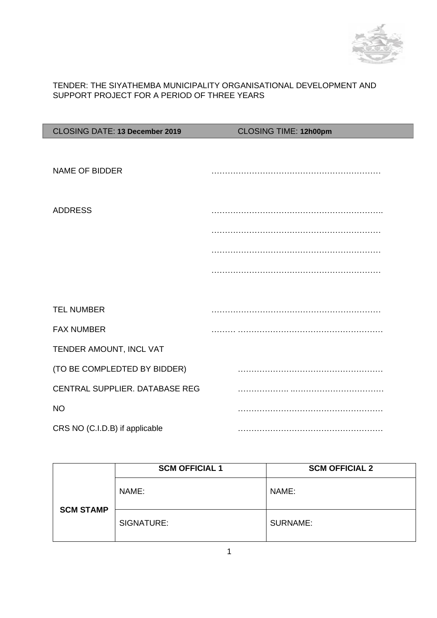

## TENDER: THE SIYATHEMBA MUNICIPALITY ORGANISATIONAL DEVELOPMENT AND SUPPORT PROJECT FOR A PERIOD OF THREE YEARS

| CLOSING DATE: 13 December 2019 | CLOSING TIME: 12h00pm |
|--------------------------------|-----------------------|
|                                |                       |
| NAME OF BIDDER                 |                       |
| <b>ADDRESS</b>                 |                       |
|                                |                       |
|                                |                       |
|                                |                       |
|                                |                       |
| <b>TEL NUMBER</b>              |                       |
| <b>FAX NUMBER</b>              |                       |
| TENDER AMOUNT, INCL VAT        |                       |
| (TO BE COMPLEDTED BY BIDDER)   |                       |
| CENTRAL SUPPLIER. DATABASE REG |                       |
| <b>NO</b>                      |                       |
| CRS NO (C.I.D.B) if applicable |                       |

|                  | <b>SCM OFFICIAL 1</b> | <b>SCM OFFICIAL 2</b> |
|------------------|-----------------------|-----------------------|
|                  | NAME:                 | NAME:                 |
| <b>SCM STAMP</b> | SIGNATURE:            | <b>SURNAME:</b>       |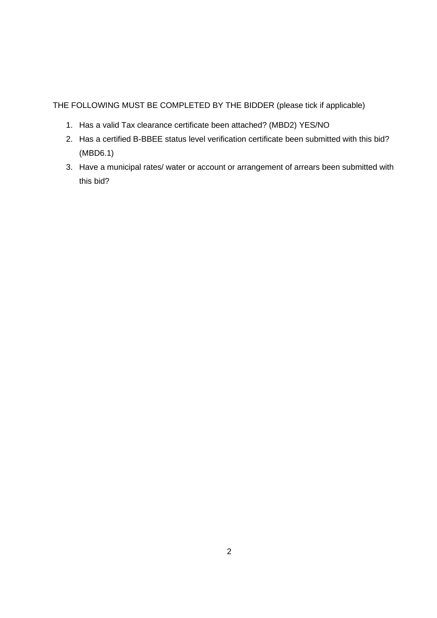THE FOLLOWING MUST BE COMPLETED BY THE BIDDER (please tick if applicable)

- 1. Has a valid Tax clearance certificate been attached? (MBD2) YES/NO
- 2. Has a certified B-BBEE status level verification certificate been submitted with this bid? (MBD6.1)
- 3. Have a municipal rates/ water or account or arrangement of arrears been submitted with this bid?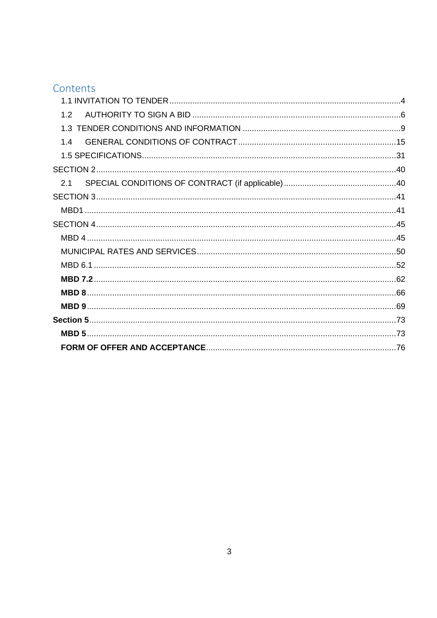# Contents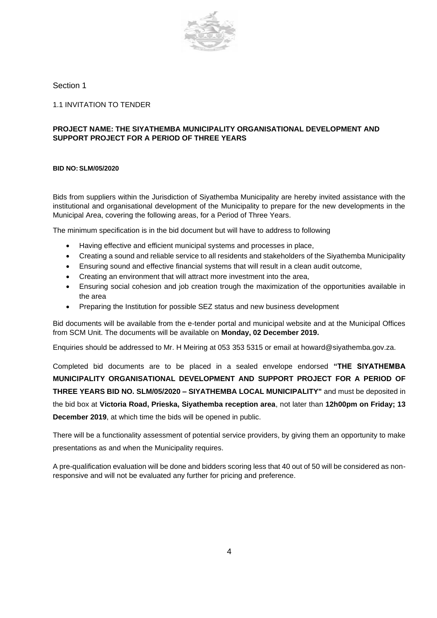

#### Section 1

<span id="page-3-0"></span>1.1 INVITATION TO TENDER

#### **PROJECT NAME: THE SIYATHEMBA MUNICIPALITY ORGANISATIONAL DEVELOPMENT AND SUPPORT PROJECT FOR A PERIOD OF THREE YEARS**

#### **BID NO: SLM/05/2020**

Bids from suppliers within the Jurisdiction of Siyathemba Municipality are hereby invited assistance with the institutional and organisational development of the Municipality to prepare for the new developments in the Municipal Area, covering the following areas, for a Period of Three Years.

The minimum specification is in the bid document but will have to address to following

- Having effective and efficient municipal systems and processes in place,
- Creating a sound and reliable service to all residents and stakeholders of the Siyathemba Municipality
- Ensuring sound and effective financial systems that will result in a clean audit outcome,
- Creating an environment that will attract more investment into the area,
- Ensuring social cohesion and job creation trough the maximization of the opportunities available in the area
- Preparing the Institution for possible SEZ status and new business development

Bid documents will be available from the e-tender portal and municipal website and at the Municipal Offices from SCM Unit. The documents will be available on **Monday, 02 December 2019.**

Enquiries should be addressed to Mr. H Meiring at 053 353 5315 or email at howard@siyathemba.gov.za.

Completed bid documents are to be placed in a sealed envelope endorsed **"THE SIYATHEMBA MUNICIPALITY ORGANISATIONAL DEVELOPMENT AND SUPPORT PROJECT FOR A PERIOD OF THREE YEARS BID NO. SLM/05/2020 – SIYATHEMBA LOCAL MUNICIPALITY"** and must be deposited in the bid box at **Victoria Road, Prieska, Siyathemba reception area**, not later than **12h00pm on Friday; 13 December 2019**, at which time the bids will be opened in public.

There will be a functionality assessment of potential service providers, by giving them an opportunity to make presentations as and when the Municipality requires.

A pre-qualification evaluation will be done and bidders scoring less that 40 out of 50 will be considered as nonresponsive and will not be evaluated any further for pricing and preference.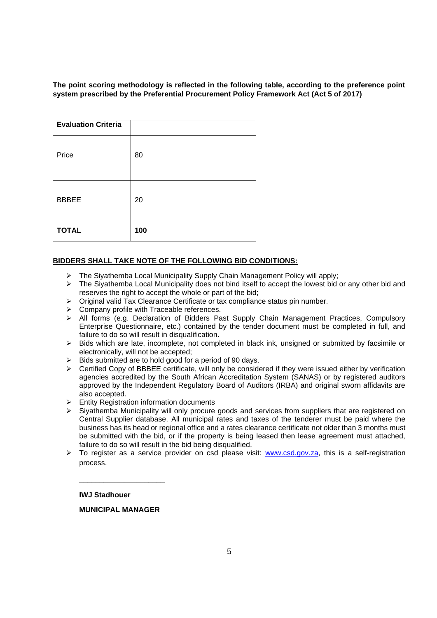**The point scoring methodology is reflected in the following table, according to the preference point system prescribed by the Preferential Procurement Policy Framework Act (Act 5 of 2017)**

| <b>Evaluation Criteria</b> |     |
|----------------------------|-----|
| Price                      | 80  |
| <b>BBBEE</b>               | 20  |
| <b>TOTAL</b>               | 100 |

#### **BIDDERS SHALL TAKE NOTE OF THE FOLLOWING BID CONDITIONS:**

- ➢ The Siyathemba Local Municipality Supply Chain Management Policy will apply;
- $\triangleright$  The Siyathemba Local Municipality does not bind itself to accept the lowest bid or any other bid and reserves the right to accept the whole or part of the bid;
- ➢ Original valid Tax Clearance Certificate or tax compliance status pin number.
- ➢ Company profile with Traceable references.
- ➢ All forms (e.g. Declaration of Bidders Past Supply Chain Management Practices, Compulsory Enterprise Questionnaire, etc.) contained by the tender document must be completed in full, and failure to do so will result in disqualification.
- ➢ Bids which are late, incomplete, not completed in black ink, unsigned or submitted by facsimile or electronically, will not be accepted;
- ➢ Bids submitted are to hold good for a period of 90 days.
- $\triangleright$  Certified Copy of BBBEE certificate, will only be considered if they were issued either by verification agencies accredited by the South African Accreditation System (SANAS) or by registered auditors approved by the Independent Regulatory Board of Auditors (IRBA) and original sworn affidavits are also accepted.
- ➢ Entity Registration information documents
- ➢ Siyathemba Municipality will only procure goods and services from suppliers that are registered on Central Supplier database. All municipal rates and taxes of the tenderer must be paid where the business has its head or regional office and a rates clearance certificate not older than 3 months must be submitted with the bid, or if the property is being leased then lease agreement must attached, failure to do so will result in the bid being disqualified.
- ➢ To register as a service provider on csd please visit: [www.csd.gov.za,](http://www.csd.gov.za/) this is a self-registration process.

 **IWJ Stadhouer**

 **MUNICIPAL MANAGER**

**\_\_\_\_\_\_\_\_\_\_\_\_\_\_\_\_\_\_\_\_\_**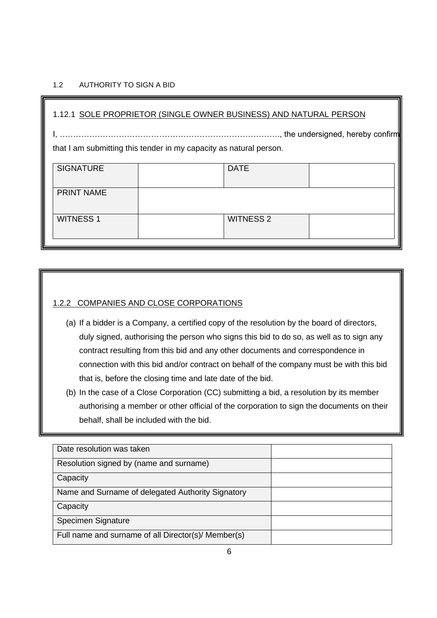## <span id="page-5-0"></span>1.2 AUTHORITY TO SIGN A BID

| 1.12.1 SOLE PROPRIETOR (SINGLE OWNER BUSINESS) AND NATURAL PERSON  |  |                  |  |
|--------------------------------------------------------------------|--|------------------|--|
| that I am submitting this tender in my capacity as natural person. |  |                  |  |
| <b>SIGNATURE</b>                                                   |  | <b>DATE</b>      |  |
| <b>PRINT NAME</b>                                                  |  |                  |  |
| <b>WITNESS 1</b>                                                   |  | <b>WITNESS 2</b> |  |

## 1.2.2 COMPANIES AND CLOSE CORPORATIONS

- (a) If a bidder is a Company, a certified copy of the resolution by the board of directors, duly signed, authorising the person who signs this bid to do so, as well as to sign any contract resulting from this bid and any other documents and correspondence in connection with this bid and/or contract on behalf of the company must be with this bid that is, before the closing time and late date of the bid.
- (b) In the case of a Close Corporation (CC) submitting a bid, a resolution by its member authorising a member or other official of the corporation to sign the documents on their behalf, shall be included with the bid.

| Date resolution was taken                           |  |
|-----------------------------------------------------|--|
| Resolution signed by (name and surname)             |  |
| Capacity                                            |  |
| Name and Surname of delegated Authority Signatory   |  |
| Capacity                                            |  |
| Specimen Signature                                  |  |
| Full name and surname of all Director(s)/ Member(s) |  |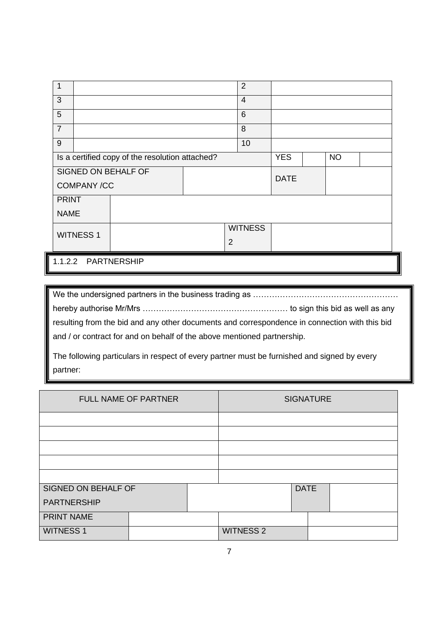| $\mathbf 1$                   |                                                                            |  |                 | $\overline{2}$ |  |  |  |
|-------------------------------|----------------------------------------------------------------------------|--|-----------------|----------------|--|--|--|
| 3                             |                                                                            |  | $\overline{4}$  |                |  |  |  |
| 5                             |                                                                            |  | $6\phantom{1}6$ |                |  |  |  |
| $\overline{7}$                |                                                                            |  |                 | 8              |  |  |  |
| 9                             |                                                                            |  |                 | 10             |  |  |  |
|                               | <b>YES</b><br>Is a certified copy of the resolution attached?<br><b>NO</b> |  |                 |                |  |  |  |
|                               | SIGNED ON BEHALF OF                                                        |  |                 | <b>DATE</b>    |  |  |  |
| <b>COMPANY/CC</b>             |                                                                            |  |                 |                |  |  |  |
| <b>PRINT</b>                  |                                                                            |  |                 |                |  |  |  |
| <b>NAME</b>                   |                                                                            |  |                 |                |  |  |  |
| <b>WITNESS 1</b>              |                                                                            |  | <b>WITNESS</b>  |                |  |  |  |
|                               |                                                                            |  |                 | $\overline{2}$ |  |  |  |
| 1.1.2.2<br><b>PARTNERSHIP</b> |                                                                            |  |                 |                |  |  |  |

We the undersigned partners in the business trading as ……………………………………………… hereby authorise Mr/Mrs ……………………………………………… to sign this bid as well as any resulting from the bid and any other documents and correspondence in connection with this bid and / or contract for and on behalf of the above mentioned partnership.

The following particulars in respect of every partner must be furnished and signed by every partner:

| FULL NAME OF PARTNER |  | <b>SIGNATURE</b> |                  |             |  |  |
|----------------------|--|------------------|------------------|-------------|--|--|
|                      |  |                  |                  |             |  |  |
|                      |  |                  |                  |             |  |  |
|                      |  |                  |                  |             |  |  |
|                      |  |                  |                  |             |  |  |
|                      |  |                  |                  |             |  |  |
| SIGNED ON BEHALF OF  |  |                  |                  | <b>DATE</b> |  |  |
| <b>PARTNERSHIP</b>   |  |                  |                  |             |  |  |
| <b>PRINT NAME</b>    |  |                  |                  |             |  |  |
| <b>WITNESS 1</b>     |  |                  | <b>WITNESS 2</b> |             |  |  |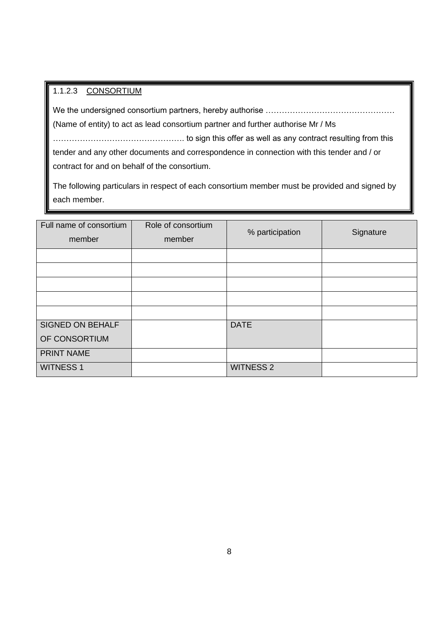## 1.1.2.3 CONSORTIUM

We the undersigned consortium partners, hereby authorise ………………………………………… (Name of entity) to act as lead consortium partner and further authorise Mr / Ms …………………………………………. to sign this offer as well as any contract resulting from this tender and any other documents and correspondence in connection with this tender and / or contract for and on behalf of the consortium.

The following particulars in respect of each consortium member must be provided and signed by each member.

| Full name of consortium<br>member | Role of consortium<br>member | % participation  | Signature |
|-----------------------------------|------------------------------|------------------|-----------|
|                                   |                              |                  |           |
|                                   |                              |                  |           |
|                                   |                              |                  |           |
|                                   |                              |                  |           |
|                                   |                              |                  |           |
| <b>SIGNED ON BEHALF</b>           |                              | <b>DATE</b>      |           |
| OF CONSORTIUM                     |                              |                  |           |
| <b>PRINT NAME</b>                 |                              |                  |           |
| <b>WITNESS 1</b>                  |                              | <b>WITNESS 2</b> |           |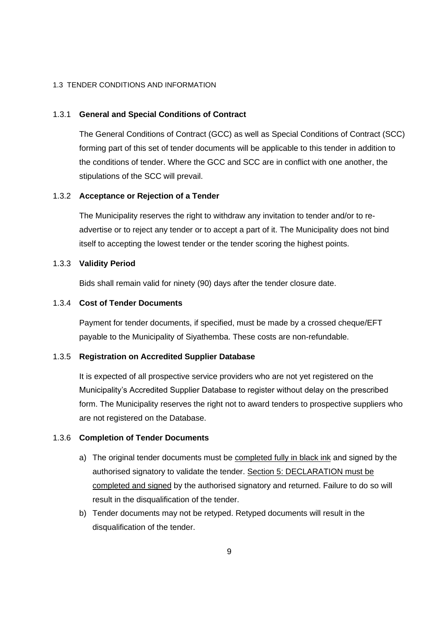#### <span id="page-8-0"></span>1.3 TENDER CONDITIONS AND INFORMATION

#### 1.3.1 **General and Special Conditions of Contract**

The General Conditions of Contract (GCC) as well as Special Conditions of Contract (SCC) forming part of this set of tender documents will be applicable to this tender in addition to the conditions of tender. Where the GCC and SCC are in conflict with one another, the stipulations of the SCC will prevail.

#### 1.3.2 **Acceptance or Rejection of a Tender**

The Municipality reserves the right to withdraw any invitation to tender and/or to readvertise or to reject any tender or to accept a part of it. The Municipality does not bind itself to accepting the lowest tender or the tender scoring the highest points.

#### 1.3.3 **Validity Period**

Bids shall remain valid for ninety (90) days after the tender closure date.

#### 1.3.4 **Cost of Tender Documents**

Payment for tender documents, if specified, must be made by a crossed cheque/EFT payable to the Municipality of Siyathemba. These costs are non-refundable.

#### 1.3.5 **Registration on Accredited Supplier Database**

It is expected of all prospective service providers who are not yet registered on the Municipality's Accredited Supplier Database to register without delay on the prescribed form. The Municipality reserves the right not to award tenders to prospective suppliers who are not registered on the Database.

#### 1.3.6 **Completion of Tender Documents**

- a) The original tender documents must be completed fully in black ink and signed by the authorised signatory to validate the tender. Section 5: DECLARATION must be completed and signed by the authorised signatory and returned. Failure to do so will result in the disqualification of the tender.
- b) Tender documents may not be retyped. Retyped documents will result in the disqualification of the tender.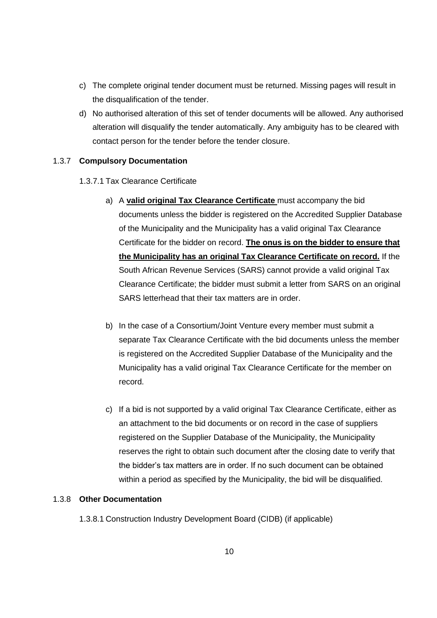- c) The complete original tender document must be returned. Missing pages will result in the disqualification of the tender.
- d) No authorised alteration of this set of tender documents will be allowed. Any authorised alteration will disqualify the tender automatically. Any ambiguity has to be cleared with contact person for the tender before the tender closure.

#### 1.3.7 **Compulsory Documentation**

- 1.3.7.1 Tax Clearance Certificate
	- a) A **valid original Tax Clearance Certificate** must accompany the bid documents unless the bidder is registered on the Accredited Supplier Database of the Municipality and the Municipality has a valid original Tax Clearance Certificate for the bidder on record. **The onus is on the bidder to ensure that the Municipality has an original Tax Clearance Certificate on record.** If the South African Revenue Services (SARS) cannot provide a valid original Tax Clearance Certificate; the bidder must submit a letter from SARS on an original SARS letterhead that their tax matters are in order.
	- b) In the case of a Consortium/Joint Venture every member must submit a separate Tax Clearance Certificate with the bid documents unless the member is registered on the Accredited Supplier Database of the Municipality and the Municipality has a valid original Tax Clearance Certificate for the member on record.
	- c) If a bid is not supported by a valid original Tax Clearance Certificate, either as an attachment to the bid documents or on record in the case of suppliers registered on the Supplier Database of the Municipality, the Municipality reserves the right to obtain such document after the closing date to verify that the bidder's tax matters are in order. If no such document can be obtained within a period as specified by the Municipality, the bid will be disqualified.

## 1.3.8 **Other Documentation**

1.3.8.1 Construction Industry Development Board (CIDB) (if applicable)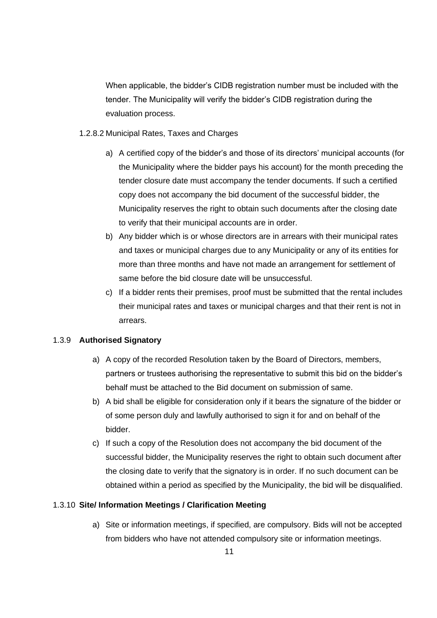When applicable, the bidder's CIDB registration number must be included with the tender. The Municipality will verify the bidder's CIDB registration during the evaluation process.

- 1.2.8.2 Municipal Rates, Taxes and Charges
	- a) A certified copy of the bidder's and those of its directors' municipal accounts (for the Municipality where the bidder pays his account) for the month preceding the tender closure date must accompany the tender documents. If such a certified copy does not accompany the bid document of the successful bidder, the Municipality reserves the right to obtain such documents after the closing date to verify that their municipal accounts are in order.
	- b) Any bidder which is or whose directors are in arrears with their municipal rates and taxes or municipal charges due to any Municipality or any of its entities for more than three months and have not made an arrangement for settlement of same before the bid closure date will be unsuccessful.
	- c) If a bidder rents their premises, proof must be submitted that the rental includes their municipal rates and taxes or municipal charges and that their rent is not in arrears.

## 1.3.9 **Authorised Signatory**

- a) A copy of the recorded Resolution taken by the Board of Directors, members, partners or trustees authorising the representative to submit this bid on the bidder's behalf must be attached to the Bid document on submission of same.
- b) A bid shall be eligible for consideration only if it bears the signature of the bidder or of some person duly and lawfully authorised to sign it for and on behalf of the bidder.
- c) If such a copy of the Resolution does not accompany the bid document of the successful bidder, the Municipality reserves the right to obtain such document after the closing date to verify that the signatory is in order. If no such document can be obtained within a period as specified by the Municipality, the bid will be disqualified.

#### 1.3.10 **Site/ Information Meetings / Clarification Meeting**

a) Site or information meetings, if specified, are compulsory. Bids will not be accepted from bidders who have not attended compulsory site or information meetings.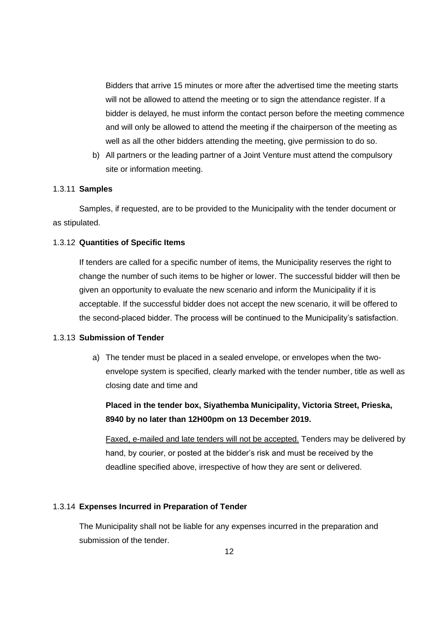Bidders that arrive 15 minutes or more after the advertised time the meeting starts will not be allowed to attend the meeting or to sign the attendance register. If a bidder is delayed, he must inform the contact person before the meeting commence and will only be allowed to attend the meeting if the chairperson of the meeting as well as all the other bidders attending the meeting, give permission to do so.

b) All partners or the leading partner of a Joint Venture must attend the compulsory site or information meeting.

## 1.3.11 **Samples**

Samples, if requested, are to be provided to the Municipality with the tender document or as stipulated.

#### 1.3.12 **Quantities of Specific Items**

If tenders are called for a specific number of items, the Municipality reserves the right to change the number of such items to be higher or lower. The successful bidder will then be given an opportunity to evaluate the new scenario and inform the Municipality if it is acceptable. If the successful bidder does not accept the new scenario, it will be offered to the second-placed bidder. The process will be continued to the Municipality's satisfaction.

#### 1.3.13 **Submission of Tender**

a) The tender must be placed in a sealed envelope, or envelopes when the twoenvelope system is specified, clearly marked with the tender number, title as well as closing date and time and

**Placed in the tender box, Siyathemba Municipality, Victoria Street, Prieska, 8940 by no later than 12H00pm on 13 December 2019.**

Faxed, e-mailed and late tenders will not be accepted. Tenders may be delivered by hand, by courier, or posted at the bidder's risk and must be received by the deadline specified above, irrespective of how they are sent or delivered.

## 1.3.14 **Expenses Incurred in Preparation of Tender**

The Municipality shall not be liable for any expenses incurred in the preparation and submission of the tender.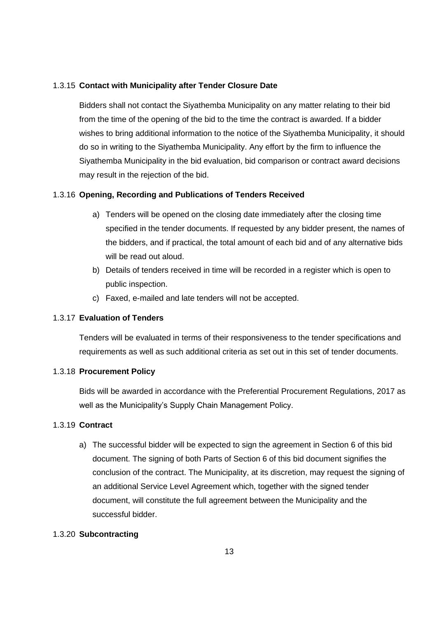## 1.3.15 **Contact with Municipality after Tender Closure Date**

Bidders shall not contact the Siyathemba Municipality on any matter relating to their bid from the time of the opening of the bid to the time the contract is awarded. If a bidder wishes to bring additional information to the notice of the Siyathemba Municipality, it should do so in writing to the Siyathemba Municipality. Any effort by the firm to influence the Siyathemba Municipality in the bid evaluation, bid comparison or contract award decisions may result in the rejection of the bid.

## 1.3.16 **Opening, Recording and Publications of Tenders Received**

- a) Tenders will be opened on the closing date immediately after the closing time specified in the tender documents. If requested by any bidder present, the names of the bidders, and if practical, the total amount of each bid and of any alternative bids will be read out aloud.
- b) Details of tenders received in time will be recorded in a register which is open to public inspection.
- c) Faxed, e-mailed and late tenders will not be accepted.

## 1.3.17 **Evaluation of Tenders**

Tenders will be evaluated in terms of their responsiveness to the tender specifications and requirements as well as such additional criteria as set out in this set of tender documents.

## 1.3.18 **Procurement Policy**

Bids will be awarded in accordance with the Preferential Procurement Regulations, 2017 as well as the Municipality's Supply Chain Management Policy.

## 1.3.19 **Contract**

a) The successful bidder will be expected to sign the agreement in Section 6 of this bid document. The signing of both Parts of Section 6 of this bid document signifies the conclusion of the contract. The Municipality, at its discretion, may request the signing of an additional Service Level Agreement which, together with the signed tender document, will constitute the full agreement between the Municipality and the successful bidder.

## 1.3.20 **Subcontracting**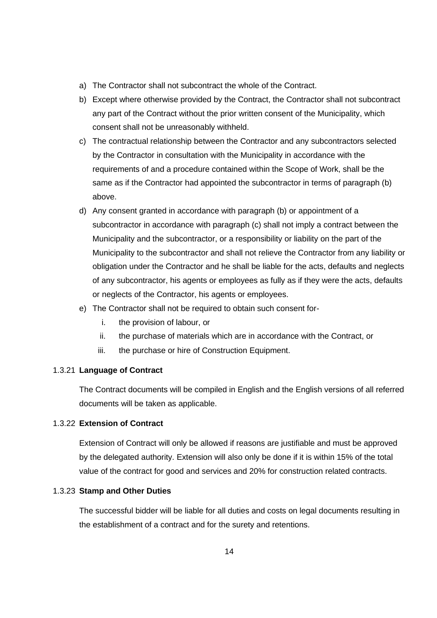- a) The Contractor shall not subcontract the whole of the Contract.
- b) Except where otherwise provided by the Contract, the Contractor shall not subcontract any part of the Contract without the prior written consent of the Municipality, which consent shall not be unreasonably withheld.
- c) The contractual relationship between the Contractor and any subcontractors selected by the Contractor in consultation with the Municipality in accordance with the requirements of and a procedure contained within the Scope of Work, shall be the same as if the Contractor had appointed the subcontractor in terms of paragraph (b) above.
- d) Any consent granted in accordance with paragraph (b) or appointment of a subcontractor in accordance with paragraph (c) shall not imply a contract between the Municipality and the subcontractor, or a responsibility or liability on the part of the Municipality to the subcontractor and shall not relieve the Contractor from any liability or obligation under the Contractor and he shall be liable for the acts, defaults and neglects of any subcontractor, his agents or employees as fully as if they were the acts, defaults or neglects of the Contractor, his agents or employees.
- e) The Contractor shall not be required to obtain such consent for
	- i. the provision of labour, or
	- ii. the purchase of materials which are in accordance with the Contract, or
	- iii. the purchase or hire of Construction Equipment.

#### 1.3.21 **Language of Contract**

The Contract documents will be compiled in English and the English versions of all referred documents will be taken as applicable.

## 1.3.22 **Extension of Contract**

Extension of Contract will only be allowed if reasons are justifiable and must be approved by the delegated authority. Extension will also only be done if it is within 15% of the total value of the contract for good and services and 20% for construction related contracts.

#### 1.3.23 **Stamp and Other Duties**

The successful bidder will be liable for all duties and costs on legal documents resulting in the establishment of a contract and for the surety and retentions.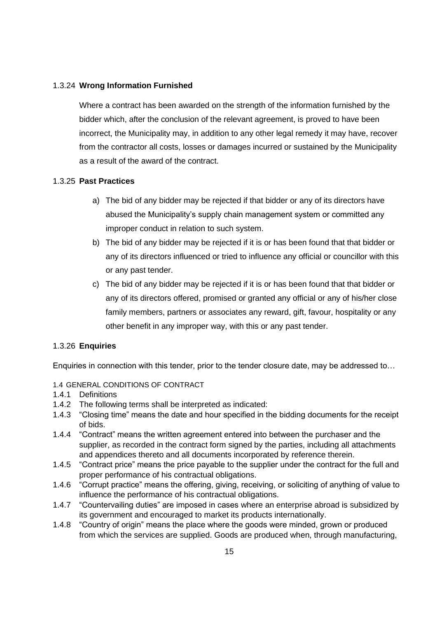## 1.3.24 **Wrong Information Furnished**

Where a contract has been awarded on the strength of the information furnished by the bidder which, after the conclusion of the relevant agreement, is proved to have been incorrect, the Municipality may, in addition to any other legal remedy it may have, recover from the contractor all costs, losses or damages incurred or sustained by the Municipality as a result of the award of the contract.

#### 1.3.25 **Past Practices**

- a) The bid of any bidder may be rejected if that bidder or any of its directors have abused the Municipality's supply chain management system or committed any improper conduct in relation to such system.
- b) The bid of any bidder may be rejected if it is or has been found that that bidder or any of its directors influenced or tried to influence any official or councillor with this or any past tender.
- c) The bid of any bidder may be rejected if it is or has been found that that bidder or any of its directors offered, promised or granted any official or any of his/her close family members, partners or associates any reward, gift, favour, hospitality or any other benefit in any improper way, with this or any past tender.

#### 1.3.26 **Enquiries**

Enquiries in connection with this tender, prior to the tender closure date, may be addressed to…

## <span id="page-14-0"></span>1.4 GENERAL CONDITIONS OF CONTRACT

- 1.4.1 Definitions
- 1.4.2 The following terms shall be interpreted as indicated:
- 1.4.3 "Closing time" means the date and hour specified in the bidding documents for the receipt of bids.
- 1.4.4 "Contract" means the written agreement entered into between the purchaser and the supplier, as recorded in the contract form signed by the parties, including all attachments and appendices thereto and all documents incorporated by reference therein.
- 1.4.5 "Contract price" means the price payable to the supplier under the contract for the full and proper performance of his contractual obligations.
- 1.4.6 "Corrupt practice" means the offering, giving, receiving, or soliciting of anything of value to influence the performance of his contractual obligations.
- 1.4.7 "Countervailing duties" are imposed in cases where an enterprise abroad is subsidized by its government and encouraged to market its products internationally.
- 1.4.8 "Country of origin" means the place where the goods were minded, grown or produced from which the services are supplied. Goods are produced when, through manufacturing,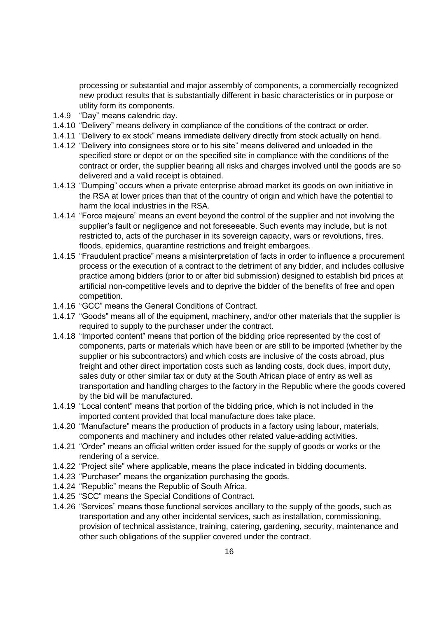processing or substantial and major assembly of components, a commercially recognized new product results that is substantially different in basic characteristics or in purpose or utility form its components.

- 1.4.9 "Day" means calendric day.
- 1.4.10 "Delivery" means delivery in compliance of the conditions of the contract or order.
- 1.4.11 "Delivery to ex stock" means immediate delivery directly from stock actually on hand.
- 1.4.12 "Delivery into consignees store or to his site" means delivered and unloaded in the specified store or depot or on the specified site in compliance with the conditions of the contract or order, the supplier bearing all risks and charges involved until the goods are so delivered and a valid receipt is obtained.
- 1.4.13 "Dumping" occurs when a private enterprise abroad market its goods on own initiative in the RSA at lower prices than that of the country of origin and which have the potential to harm the local industries in the RSA.
- 1.4.14 "Force majeure" means an event beyond the control of the supplier and not involving the supplier's fault or negligence and not foreseeable. Such events may include, but is not restricted to, acts of the purchaser in its sovereign capacity, wars or revolutions, fires, floods, epidemics, quarantine restrictions and freight embargoes.
- 1.4.15 "Fraudulent practice" means a misinterpretation of facts in order to influence a procurement process or the execution of a contract to the detriment of any bidder, and includes collusive practice among bidders (prior to or after bid submission) designed to establish bid prices at artificial non-competitive levels and to deprive the bidder of the benefits of free and open competition.
- 1.4.16 "GCC" means the General Conditions of Contract.
- 1.4.17 "Goods" means all of the equipment, machinery, and/or other materials that the supplier is required to supply to the purchaser under the contract.
- 1.4.18 "Imported content" means that portion of the bidding price represented by the cost of components, parts or materials which have been or are still to be imported (whether by the supplier or his subcontractors) and which costs are inclusive of the costs abroad, plus freight and other direct importation costs such as landing costs, dock dues, import duty, sales duty or other similar tax or duty at the South African place of entry as well as transportation and handling charges to the factory in the Republic where the goods covered by the bid will be manufactured.
- 1.4.19 "Local content" means that portion of the bidding price, which is not included in the imported content provided that local manufacture does take place.
- 1.4.20 "Manufacture" means the production of products in a factory using labour, materials, components and machinery and includes other related value-adding activities.
- 1.4.21 "Order" means an official written order issued for the supply of goods or works or the rendering of a service.
- 1.4.22 "Project site" where applicable, means the place indicated in bidding documents.
- 1.4.23 "Purchaser" means the organization purchasing the goods.
- 1.4.24 "Republic" means the Republic of South Africa.
- 1.4.25 "SCC" means the Special Conditions of Contract.
- 1.4.26 "Services" means those functional services ancillary to the supply of the goods, such as transportation and any other incidental services, such as installation, commissioning, provision of technical assistance, training, catering, gardening, security, maintenance and other such obligations of the supplier covered under the contract.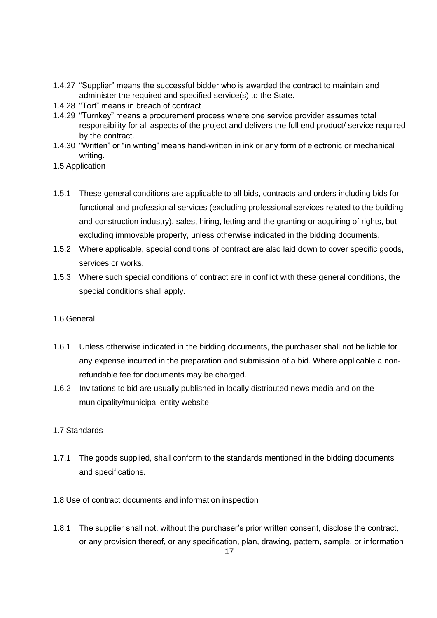- 1.4.27 "Supplier" means the successful bidder who is awarded the contract to maintain and administer the required and specified service(s) to the State.
- 1.4.28 "Tort" means in breach of contract.
- 1.4.29 "Turnkey" means a procurement process where one service provider assumes total responsibility for all aspects of the project and delivers the full end product/ service required by the contract.
- 1.4.30 "Written" or "in writing" means hand-written in ink or any form of electronic or mechanical writing.
- 1.5 Application
- 1.5.1 These general conditions are applicable to all bids, contracts and orders including bids for functional and professional services (excluding professional services related to the building and construction industry), sales, hiring, letting and the granting or acquiring of rights, but excluding immovable property, unless otherwise indicated in the bidding documents.
- 1.5.2 Where applicable, special conditions of contract are also laid down to cover specific goods, services or works.
- 1.5.3 Where such special conditions of contract are in conflict with these general conditions, the special conditions shall apply.

## 1.6 General

- 1.6.1 Unless otherwise indicated in the bidding documents, the purchaser shall not be liable for any expense incurred in the preparation and submission of a bid. Where applicable a nonrefundable fee for documents may be charged.
- 1.6.2 Invitations to bid are usually published in locally distributed news media and on the municipality/municipal entity website.

## 1.7 Standards

- 1.7.1 The goods supplied, shall conform to the standards mentioned in the bidding documents and specifications.
- 1.8 Use of contract documents and information inspection
- 1.8.1 The supplier shall not, without the purchaser's prior written consent, disclose the contract, or any provision thereof, or any specification, plan, drawing, pattern, sample, or information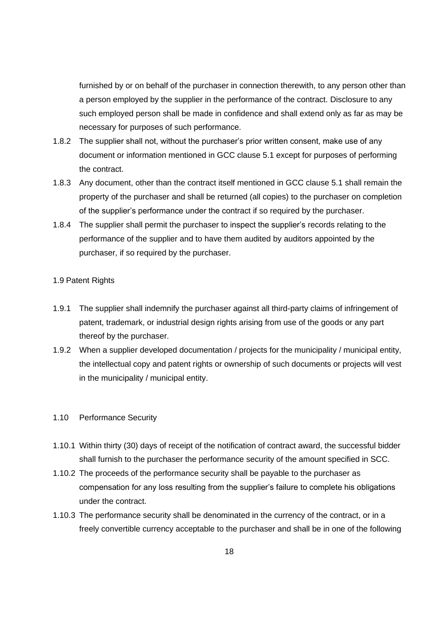furnished by or on behalf of the purchaser in connection therewith, to any person other than a person employed by the supplier in the performance of the contract. Disclosure to any such employed person shall be made in confidence and shall extend only as far as may be necessary for purposes of such performance.

- 1.8.2 The supplier shall not, without the purchaser's prior written consent, make use of any document or information mentioned in GCC clause 5.1 except for purposes of performing the contract.
- 1.8.3 Any document, other than the contract itself mentioned in GCC clause 5.1 shall remain the property of the purchaser and shall be returned (all copies) to the purchaser on completion of the supplier's performance under the contract if so required by the purchaser.
- 1.8.4 The supplier shall permit the purchaser to inspect the supplier's records relating to the performance of the supplier and to have them audited by auditors appointed by the purchaser, if so required by the purchaser.

#### 1.9 Patent Rights

- 1.9.1 The supplier shall indemnify the purchaser against all third-party claims of infringement of patent, trademark, or industrial design rights arising from use of the goods or any part thereof by the purchaser.
- 1.9.2 When a supplier developed documentation / projects for the municipality / municipal entity, the intellectual copy and patent rights or ownership of such documents or projects will vest in the municipality / municipal entity.

#### 1.10 Performance Security

- 1.10.1 Within thirty (30) days of receipt of the notification of contract award, the successful bidder shall furnish to the purchaser the performance security of the amount specified in SCC.
- 1.10.2 The proceeds of the performance security shall be payable to the purchaser as compensation for any loss resulting from the supplier's failure to complete his obligations under the contract.
- 1.10.3 The performance security shall be denominated in the currency of the contract, or in a freely convertible currency acceptable to the purchaser and shall be in one of the following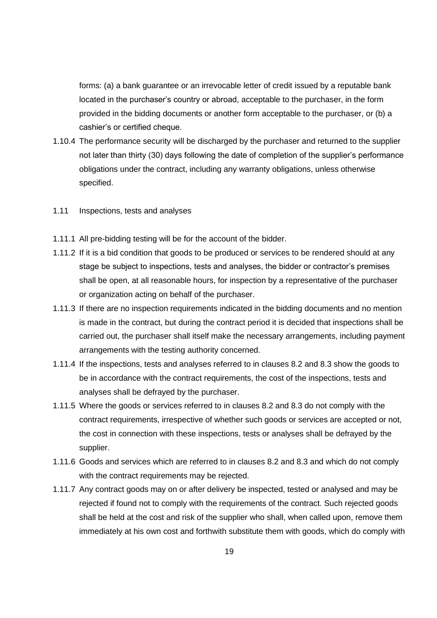forms: (a) a bank guarantee or an irrevocable letter of credit issued by a reputable bank located in the purchaser's country or abroad, acceptable to the purchaser, in the form provided in the bidding documents or another form acceptable to the purchaser, or (b) a cashier's or certified cheque.

- 1.10.4 The performance security will be discharged by the purchaser and returned to the supplier not later than thirty (30) days following the date of completion of the supplier's performance obligations under the contract, including any warranty obligations, unless otherwise specified.
- 1.11 Inspections, tests and analyses
- 1.11.1 All pre-bidding testing will be for the account of the bidder.
- 1.11.2 If it is a bid condition that goods to be produced or services to be rendered should at any stage be subject to inspections, tests and analyses, the bidder or contractor's premises shall be open, at all reasonable hours, for inspection by a representative of the purchaser or organization acting on behalf of the purchaser.
- 1.11.3 If there are no inspection requirements indicated in the bidding documents and no mention is made in the contract, but during the contract period it is decided that inspections shall be carried out, the purchaser shall itself make the necessary arrangements, including payment arrangements with the testing authority concerned.
- 1.11.4 If the inspections, tests and analyses referred to in clauses 8.2 and 8.3 show the goods to be in accordance with the contract requirements, the cost of the inspections, tests and analyses shall be defrayed by the purchaser.
- 1.11.5 Where the goods or services referred to in clauses 8.2 and 8.3 do not comply with the contract requirements, irrespective of whether such goods or services are accepted or not, the cost in connection with these inspections, tests or analyses shall be defrayed by the supplier.
- 1.11.6 Goods and services which are referred to in clauses 8.2 and 8.3 and which do not comply with the contract requirements may be rejected.
- 1.11.7 Any contract goods may on or after delivery be inspected, tested or analysed and may be rejected if found not to comply with the requirements of the contract. Such rejected goods shall be held at the cost and risk of the supplier who shall, when called upon, remove them immediately at his own cost and forthwith substitute them with goods, which do comply with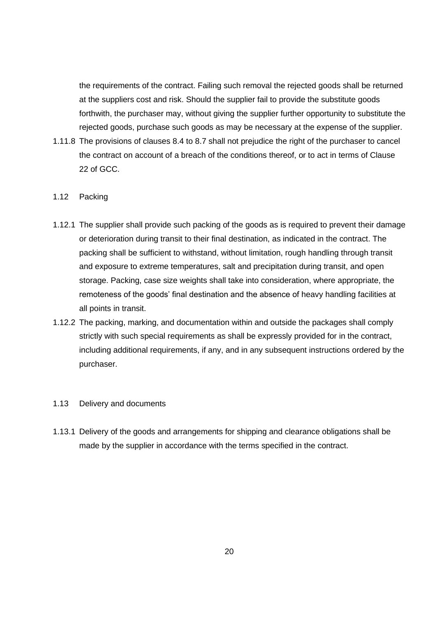the requirements of the contract. Failing such removal the rejected goods shall be returned at the suppliers cost and risk. Should the supplier fail to provide the substitute goods forthwith, the purchaser may, without giving the supplier further opportunity to substitute the rejected goods, purchase such goods as may be necessary at the expense of the supplier.

1.11.8 The provisions of clauses 8.4 to 8.7 shall not prejudice the right of the purchaser to cancel the contract on account of a breach of the conditions thereof, or to act in terms of Clause 22 of GCC.

## 1.12 Packing

- 1.12.1 The supplier shall provide such packing of the goods as is required to prevent their damage or deterioration during transit to their final destination, as indicated in the contract. The packing shall be sufficient to withstand, without limitation, rough handling through transit and exposure to extreme temperatures, salt and precipitation during transit, and open storage. Packing, case size weights shall take into consideration, where appropriate, the remoteness of the goods' final destination and the absence of heavy handling facilities at all points in transit.
- 1.12.2 The packing, marking, and documentation within and outside the packages shall comply strictly with such special requirements as shall be expressly provided for in the contract, including additional requirements, if any, and in any subsequent instructions ordered by the purchaser.

#### 1.13 Delivery and documents

1.13.1 Delivery of the goods and arrangements for shipping and clearance obligations shall be made by the supplier in accordance with the terms specified in the contract.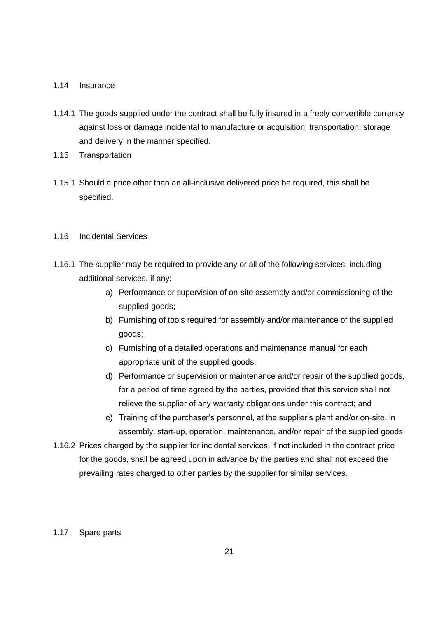#### 1.14 Insurance

- 1.14.1 The goods supplied under the contract shall be fully insured in a freely convertible currency against loss or damage incidental to manufacture or acquisition, transportation, storage and delivery in the manner specified.
- 1.15 Transportation
- 1.15.1 Should a price other than an all-inclusive delivered price be required, this shall be specified.

## 1.16 Incidental Services

- 1.16.1 The supplier may be required to provide any or all of the following services, including additional services, if any:
	- a) Performance or supervision of on-site assembly and/or commissioning of the supplied goods;
	- b) Furnishing of tools required for assembly and/or maintenance of the supplied goods;
	- c) Furnishing of a detailed operations and maintenance manual for each appropriate unit of the supplied goods;
	- d) Performance or supervision or maintenance and/or repair of the supplied goods, for a period of time agreed by the parties, provided that this service shall not relieve the supplier of any warranty obligations under this contract; and
	- e) Training of the purchaser's personnel, at the supplier's plant and/or on-site, in assembly, start-up, operation, maintenance, and/or repair of the supplied goods.
- 1.16.2 Prices charged by the supplier for incidental services, if not included in the contract price for the goods, shall be agreed upon in advance by the parties and shall not exceed the prevailing rates charged to other parties by the supplier for similar services.

#### 1.17 Spare parts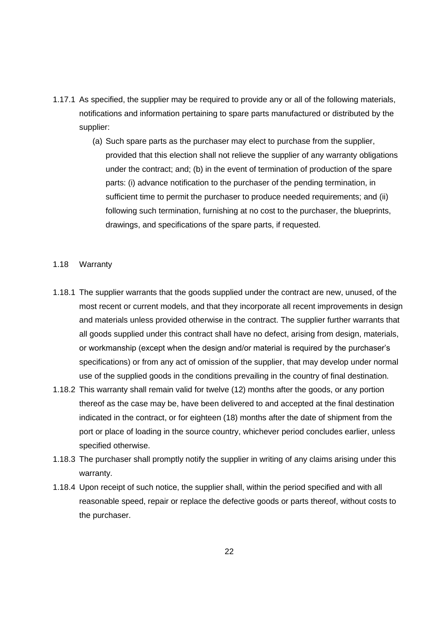- 1.17.1 As specified, the supplier may be required to provide any or all of the following materials, notifications and information pertaining to spare parts manufactured or distributed by the supplier:
	- (a) Such spare parts as the purchaser may elect to purchase from the supplier, provided that this election shall not relieve the supplier of any warranty obligations under the contract; and; (b) in the event of termination of production of the spare parts: (i) advance notification to the purchaser of the pending termination, in sufficient time to permit the purchaser to produce needed requirements; and (ii) following such termination, furnishing at no cost to the purchaser, the blueprints, drawings, and specifications of the spare parts, if requested.
- 1.18 Warranty
- 1.18.1 The supplier warrants that the goods supplied under the contract are new, unused, of the most recent or current models, and that they incorporate all recent improvements in design and materials unless provided otherwise in the contract. The supplier further warrants that all goods supplied under this contract shall have no defect, arising from design, materials, or workmanship (except when the design and/or material is required by the purchaser's specifications) or from any act of omission of the supplier, that may develop under normal use of the supplied goods in the conditions prevailing in the country of final destination.
- 1.18.2 This warranty shall remain valid for twelve (12) months after the goods, or any portion thereof as the case may be, have been delivered to and accepted at the final destination indicated in the contract, or for eighteen (18) months after the date of shipment from the port or place of loading in the source country, whichever period concludes earlier, unless specified otherwise.
- 1.18.3 The purchaser shall promptly notify the supplier in writing of any claims arising under this warranty.
- 1.18.4 Upon receipt of such notice, the supplier shall, within the period specified and with all reasonable speed, repair or replace the defective goods or parts thereof, without costs to the purchaser.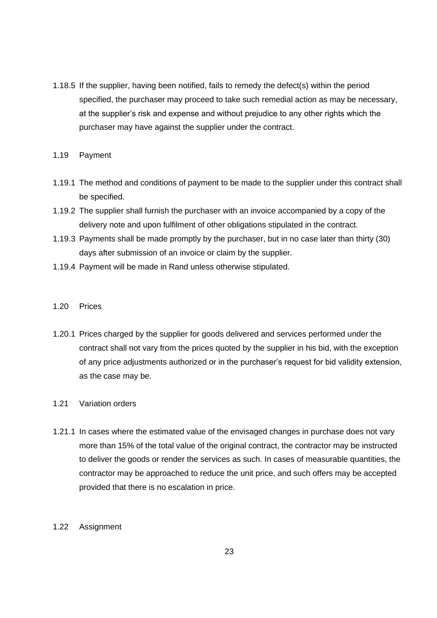1.18.5 If the supplier, having been notified, fails to remedy the defect(s) within the period specified, the purchaser may proceed to take such remedial action as may be necessary, at the supplier's risk and expense and without prejudice to any other rights which the purchaser may have against the supplier under the contract.

#### 1.19 Payment

- 1.19.1 The method and conditions of payment to be made to the supplier under this contract shall be specified.
- 1.19.2 The supplier shall furnish the purchaser with an invoice accompanied by a copy of the delivery note and upon fulfilment of other obligations stipulated in the contract.
- 1.19.3 Payments shall be made promptly by the purchaser, but in no case later than thirty (30) days after submission of an invoice or claim by the supplier.
- 1.19.4 Payment will be made in Rand unless otherwise stipulated.

#### 1.20 Prices

1.20.1 Prices charged by the supplier for goods delivered and services performed under the contract shall not vary from the prices quoted by the supplier in his bid, with the exception of any price adjustments authorized or in the purchaser's request for bid validity extension, as the case may be.

## 1.21 Variation orders

1.21.1 In cases where the estimated value of the envisaged changes in purchase does not vary more than 15% of the total value of the original contract, the contractor may be instructed to deliver the goods or render the services as such. In cases of measurable quantities, the contractor may be approached to reduce the unit price, and such offers may be accepted provided that there is no escalation in price.

## 1.22 Assignment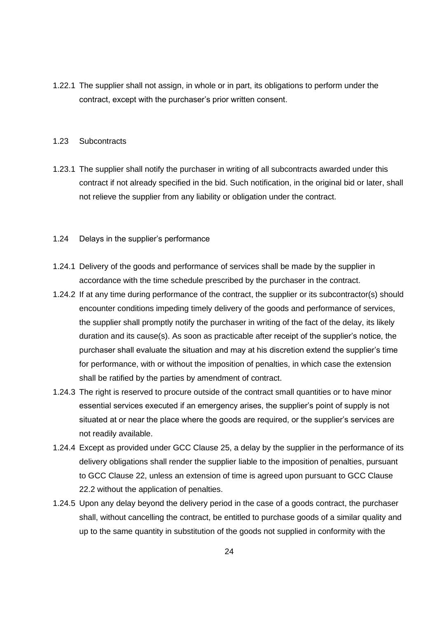1.22.1 The supplier shall not assign, in whole or in part, its obligations to perform under the contract, except with the purchaser's prior written consent.

#### 1.23 Subcontracts

- 1.23.1 The supplier shall notify the purchaser in writing of all subcontracts awarded under this contract if not already specified in the bid. Such notification, in the original bid or later, shall not relieve the supplier from any liability or obligation under the contract.
- 1.24 Delays in the supplier's performance
- 1.24.1 Delivery of the goods and performance of services shall be made by the supplier in accordance with the time schedule prescribed by the purchaser in the contract.
- 1.24.2 If at any time during performance of the contract, the supplier or its subcontractor(s) should encounter conditions impeding timely delivery of the goods and performance of services, the supplier shall promptly notify the purchaser in writing of the fact of the delay, its likely duration and its cause(s). As soon as practicable after receipt of the supplier's notice, the purchaser shall evaluate the situation and may at his discretion extend the supplier's time for performance, with or without the imposition of penalties, in which case the extension shall be ratified by the parties by amendment of contract.
- 1.24.3 The right is reserved to procure outside of the contract small quantities or to have minor essential services executed if an emergency arises, the supplier's point of supply is not situated at or near the place where the goods are required, or the supplier's services are not readily available.
- 1.24.4 Except as provided under GCC Clause 25, a delay by the supplier in the performance of its delivery obligations shall render the supplier liable to the imposition of penalties, pursuant to GCC Clause 22, unless an extension of time is agreed upon pursuant to GCC Clause 22.2 without the application of penalties.
- 1.24.5 Upon any delay beyond the delivery period in the case of a goods contract, the purchaser shall, without cancelling the contract, be entitled to purchase goods of a similar quality and up to the same quantity in substitution of the goods not supplied in conformity with the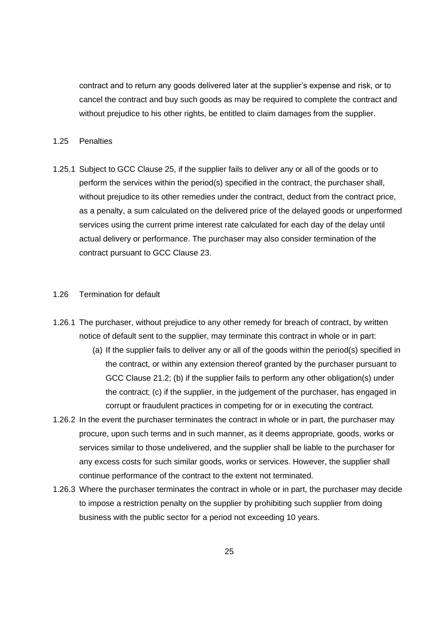contract and to return any goods delivered later at the supplier's expense and risk, or to cancel the contract and buy such goods as may be required to complete the contract and without prejudice to his other rights, be entitled to claim damages from the supplier.

#### 1.25 Penalties

1.25.1 Subject to GCC Clause 25, if the supplier fails to deliver any or all of the goods or to perform the services within the period(s) specified in the contract, the purchaser shall, without prejudice to its other remedies under the contract, deduct from the contract price, as a penalty, a sum calculated on the delivered price of the delayed goods or unperformed services using the current prime interest rate calculated for each day of the delay until actual delivery or performance. The purchaser may also consider termination of the contract pursuant to GCC Clause 23.

#### 1.26 Termination for default

- 1.26.1 The purchaser, without prejudice to any other remedy for breach of contract, by written notice of default sent to the supplier, may terminate this contract in whole or in part:
	- (a) If the supplier fails to deliver any or all of the goods within the period(s) specified in the contract, or within any extension thereof granted by the purchaser pursuant to GCC Clause 21.2; (b) if the supplier fails to perform any other obligation(s) under the contract; (c) if the supplier, in the judgement of the purchaser, has engaged in corrupt or fraudulent practices in competing for or in executing the contract.
- 1.26.2 In the event the purchaser terminates the contract in whole or in part, the purchaser may procure, upon such terms and in such manner, as it deems appropriate, goods, works or services similar to those undelivered, and the supplier shall be liable to the purchaser for any excess costs for such similar goods, works or services. However, the supplier shall continue performance of the contract to the extent not terminated.
- 1.26.3 Where the purchaser terminates the contract in whole or in part, the purchaser may decide to impose a restriction penalty on the supplier by prohibiting such supplier from doing business with the public sector for a period not exceeding 10 years.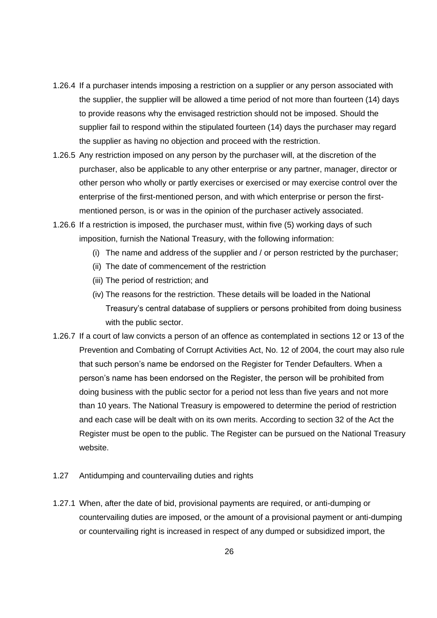- 1.26.4 If a purchaser intends imposing a restriction on a supplier or any person associated with the supplier, the supplier will be allowed a time period of not more than fourteen (14) days to provide reasons why the envisaged restriction should not be imposed. Should the supplier fail to respond within the stipulated fourteen (14) days the purchaser may regard the supplier as having no objection and proceed with the restriction.
- 1.26.5 Any restriction imposed on any person by the purchaser will, at the discretion of the purchaser, also be applicable to any other enterprise or any partner, manager, director or other person who wholly or partly exercises or exercised or may exercise control over the enterprise of the first-mentioned person, and with which enterprise or person the firstmentioned person, is or was in the opinion of the purchaser actively associated.
- 1.26.6 If a restriction is imposed, the purchaser must, within five (5) working days of such imposition, furnish the National Treasury, with the following information:
	- (i) The name and address of the supplier and / or person restricted by the purchaser;
	- (ii) The date of commencement of the restriction
	- (iii) The period of restriction; and
	- (iv) The reasons for the restriction. These details will be loaded in the National Treasury's central database of suppliers or persons prohibited from doing business with the public sector.
- 1.26.7 If a court of law convicts a person of an offence as contemplated in sections 12 or 13 of the Prevention and Combating of Corrupt Activities Act, No. 12 of 2004, the court may also rule that such person's name be endorsed on the Register for Tender Defaulters. When a person's name has been endorsed on the Register, the person will be prohibited from doing business with the public sector for a period not less than five years and not more than 10 years. The National Treasury is empowered to determine the period of restriction and each case will be dealt with on its own merits. According to section 32 of the Act the Register must be open to the public. The Register can be pursued on the National Treasury website.
- 1.27 Antidumping and countervailing duties and rights
- 1.27.1 When, after the date of bid, provisional payments are required, or anti-dumping or countervailing duties are imposed, or the amount of a provisional payment or anti-dumping or countervailing right is increased in respect of any dumped or subsidized import, the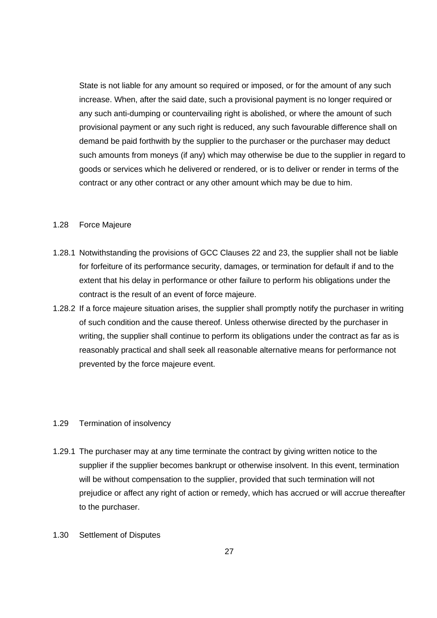State is not liable for any amount so required or imposed, or for the amount of any such increase. When, after the said date, such a provisional payment is no longer required or any such anti-dumping or countervailing right is abolished, or where the amount of such provisional payment or any such right is reduced, any such favourable difference shall on demand be paid forthwith by the supplier to the purchaser or the purchaser may deduct such amounts from moneys (if any) which may otherwise be due to the supplier in regard to goods or services which he delivered or rendered, or is to deliver or render in terms of the contract or any other contract or any other amount which may be due to him.

#### 1.28 Force Majeure

- 1.28.1 Notwithstanding the provisions of GCC Clauses 22 and 23, the supplier shall not be liable for forfeiture of its performance security, damages, or termination for default if and to the extent that his delay in performance or other failure to perform his obligations under the contract is the result of an event of force majeure.
- 1.28.2 If a force majeure situation arises, the supplier shall promptly notify the purchaser in writing of such condition and the cause thereof. Unless otherwise directed by the purchaser in writing, the supplier shall continue to perform its obligations under the contract as far as is reasonably practical and shall seek all reasonable alternative means for performance not prevented by the force majeure event.

## 1.29 Termination of insolvency

- 1.29.1 The purchaser may at any time terminate the contract by giving written notice to the supplier if the supplier becomes bankrupt or otherwise insolvent. In this event, termination will be without compensation to the supplier, provided that such termination will not prejudice or affect any right of action or remedy, which has accrued or will accrue thereafter to the purchaser.
- 1.30 Settlement of Disputes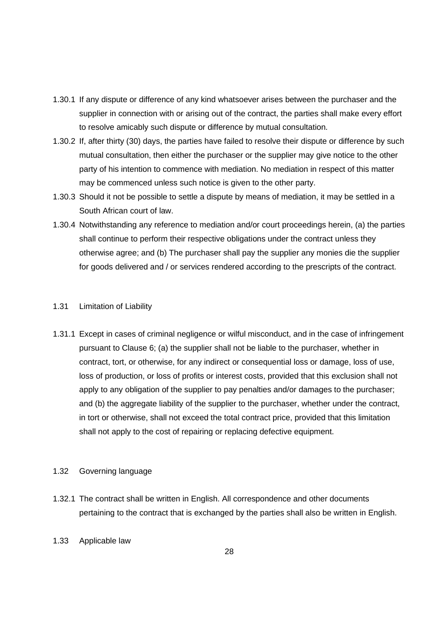- 1.30.1 If any dispute or difference of any kind whatsoever arises between the purchaser and the supplier in connection with or arising out of the contract, the parties shall make every effort to resolve amicably such dispute or difference by mutual consultation.
- 1.30.2 If, after thirty (30) days, the parties have failed to resolve their dispute or difference by such mutual consultation, then either the purchaser or the supplier may give notice to the other party of his intention to commence with mediation. No mediation in respect of this matter may be commenced unless such notice is given to the other party.
- 1.30.3 Should it not be possible to settle a dispute by means of mediation, it may be settled in a South African court of law.
- 1.30.4 Notwithstanding any reference to mediation and/or court proceedings herein, (a) the parties shall continue to perform their respective obligations under the contract unless they otherwise agree; and (b) The purchaser shall pay the supplier any monies die the supplier for goods delivered and / or services rendered according to the prescripts of the contract.

#### 1.31 Limitation of Liability

1.31.1 Except in cases of criminal negligence or wilful misconduct, and in the case of infringement pursuant to Clause 6; (a) the supplier shall not be liable to the purchaser, whether in contract, tort, or otherwise, for any indirect or consequential loss or damage, loss of use, loss of production, or loss of profits or interest costs, provided that this exclusion shall not apply to any obligation of the supplier to pay penalties and/or damages to the purchaser; and (b) the aggregate liability of the supplier to the purchaser, whether under the contract, in tort or otherwise, shall not exceed the total contract price, provided that this limitation shall not apply to the cost of repairing or replacing defective equipment.

## 1.32 Governing language

- 1.32.1 The contract shall be written in English. All correspondence and other documents pertaining to the contract that is exchanged by the parties shall also be written in English.
- 1.33 Applicable law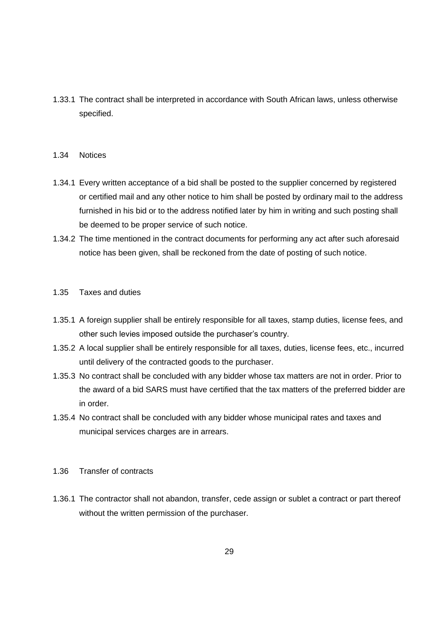1.33.1 The contract shall be interpreted in accordance with South African laws, unless otherwise specified.

#### 1.34 Notices

- 1.34.1 Every written acceptance of a bid shall be posted to the supplier concerned by registered or certified mail and any other notice to him shall be posted by ordinary mail to the address furnished in his bid or to the address notified later by him in writing and such posting shall be deemed to be proper service of such notice.
- 1.34.2 The time mentioned in the contract documents for performing any act after such aforesaid notice has been given, shall be reckoned from the date of posting of such notice.

## 1.35 Taxes and duties

- 1.35.1 A foreign supplier shall be entirely responsible for all taxes, stamp duties, license fees, and other such levies imposed outside the purchaser's country.
- 1.35.2 A local supplier shall be entirely responsible for all taxes, duties, license fees, etc., incurred until delivery of the contracted goods to the purchaser.
- 1.35.3 No contract shall be concluded with any bidder whose tax matters are not in order. Prior to the award of a bid SARS must have certified that the tax matters of the preferred bidder are in order.
- 1.35.4 No contract shall be concluded with any bidder whose municipal rates and taxes and municipal services charges are in arrears.

## 1.36 Transfer of contracts

1.36.1 The contractor shall not abandon, transfer, cede assign or sublet a contract or part thereof without the written permission of the purchaser.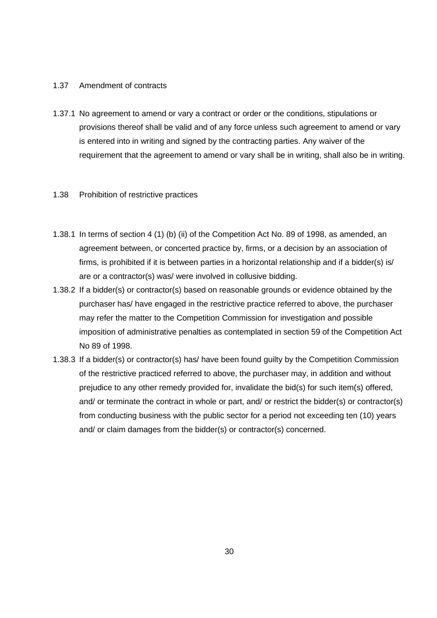## 1.37 Amendment of contracts

1.37.1 No agreement to amend or vary a contract or order or the conditions, stipulations or provisions thereof shall be valid and of any force unless such agreement to amend or vary is entered into in writing and signed by the contracting parties. Any waiver of the requirement that the agreement to amend or vary shall be in writing, shall also be in writing.

## 1.38 Prohibition of restrictive practices

- 1.38.1 In terms of section 4 (1) (b) (ii) of the Competition Act No. 89 of 1998, as amended, an agreement between, or concerted practice by, firms, or a decision by an association of firms, is prohibited if it is between parties in a horizontal relationship and if a bidder(s) is/ are or a contractor(s) was/ were involved in collusive bidding.
- 1.38.2 If a bidder(s) or contractor(s) based on reasonable grounds or evidence obtained by the purchaser has/ have engaged in the restrictive practice referred to above, the purchaser may refer the matter to the Competition Commission for investigation and possible imposition of administrative penalties as contemplated in section 59 of the Competition Act No 89 of 1998.
- 1.38.3 If a bidder(s) or contractor(s) has/ have been found guilty by the Competition Commission of the restrictive practiced referred to above, the purchaser may, in addition and without prejudice to any other remedy provided for, invalidate the bid(s) for such item(s) offered, and/ or terminate the contract in whole or part, and/ or restrict the bidder(s) or contractor(s) from conducting business with the public sector for a period not exceeding ten (10) years and/ or claim damages from the bidder(s) or contractor(s) concerned.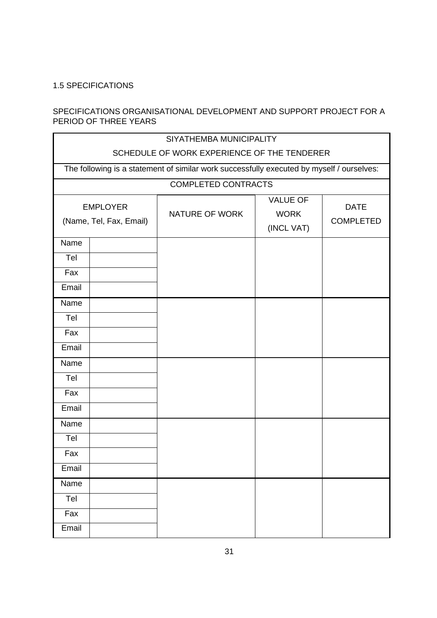## <span id="page-30-0"></span>1.5 SPECIFICATIONS

## SPECIFICATIONS ORGANISATIONAL DEVELOPMENT AND SUPPORT PROJECT FOR A PERIOD OF THREE YEARS

| SIYATHEMBA MUNICIPALITY<br>SCHEDULE OF WORK EXPERIENCE OF THE TENDERER |                                                                                           |                            |                                              |                                 |  |
|------------------------------------------------------------------------|-------------------------------------------------------------------------------------------|----------------------------|----------------------------------------------|---------------------------------|--|
|                                                                        | The following is a statement of similar work successfully executed by myself / ourselves: |                            |                                              |                                 |  |
|                                                                        |                                                                                           | <b>COMPLETED CONTRACTS</b> |                                              |                                 |  |
|                                                                        | <b>EMPLOYER</b><br>(Name, Tel, Fax, Email)                                                | NATURE OF WORK             | <b>VALUE OF</b><br><b>WORK</b><br>(INCL VAT) | <b>DATE</b><br><b>COMPLETED</b> |  |
| Name                                                                   |                                                                                           |                            |                                              |                                 |  |
| Tel                                                                    |                                                                                           |                            |                                              |                                 |  |
| Fax                                                                    |                                                                                           |                            |                                              |                                 |  |
| Email                                                                  |                                                                                           |                            |                                              |                                 |  |
| Name                                                                   |                                                                                           |                            |                                              |                                 |  |
| Tel                                                                    |                                                                                           |                            |                                              |                                 |  |
| Fax                                                                    |                                                                                           |                            |                                              |                                 |  |
| Email                                                                  |                                                                                           |                            |                                              |                                 |  |
| Name                                                                   |                                                                                           |                            |                                              |                                 |  |
| Tel                                                                    |                                                                                           |                            |                                              |                                 |  |
| Fax                                                                    |                                                                                           |                            |                                              |                                 |  |
| Email                                                                  |                                                                                           |                            |                                              |                                 |  |
| Name                                                                   |                                                                                           |                            |                                              |                                 |  |
| Tel                                                                    |                                                                                           |                            |                                              |                                 |  |
| Fax                                                                    |                                                                                           |                            |                                              |                                 |  |
| Email                                                                  |                                                                                           |                            |                                              |                                 |  |
| Name                                                                   |                                                                                           |                            |                                              |                                 |  |
| Tel                                                                    |                                                                                           |                            |                                              |                                 |  |
| Fax                                                                    |                                                                                           |                            |                                              |                                 |  |
| Email                                                                  |                                                                                           |                            |                                              |                                 |  |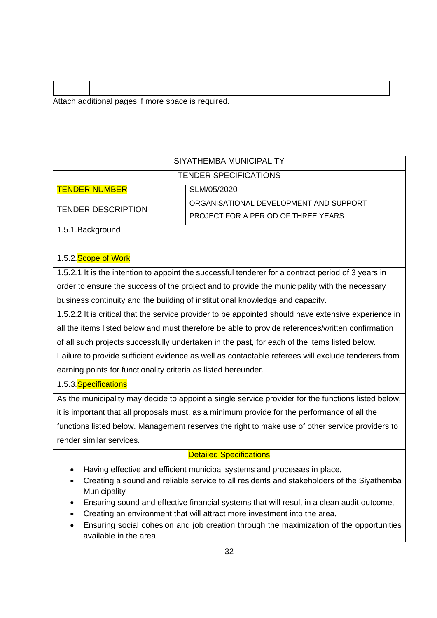|  | Attach additional pages if more space is required. |  |
|--|----------------------------------------------------|--|

| SIYATHEMBA MUNICIPALITY                                                                              |                                                                                                    |  |  |  |
|------------------------------------------------------------------------------------------------------|----------------------------------------------------------------------------------------------------|--|--|--|
|                                                                                                      | <b>TENDER SPECIFICATIONS</b>                                                                       |  |  |  |
| <b>TENDER NUMBER</b>                                                                                 | SLM/05/2020                                                                                        |  |  |  |
| <b>TENDER DESCRIPTION</b>                                                                            | ORGANISATIONAL DEVELOPMENT AND SUPPORT                                                             |  |  |  |
|                                                                                                      | PROJECT FOR A PERIOD OF THREE YEARS                                                                |  |  |  |
| 1.5.1. Background                                                                                    |                                                                                                    |  |  |  |
|                                                                                                      |                                                                                                    |  |  |  |
| 1.5.2. Scope of Work                                                                                 |                                                                                                    |  |  |  |
|                                                                                                      | 1.5.2.1 It is the intention to appoint the successful tenderer for a contract period of 3 years in |  |  |  |
| order to ensure the success of the project and to provide the municipality with the necessary        |                                                                                                    |  |  |  |
| business continuity and the building of institutional knowledge and capacity.                        |                                                                                                    |  |  |  |
| 1.5.2.2 It is critical that the service provider to be appointed should have extensive experience in |                                                                                                    |  |  |  |
| all the items listed below and must therefore be able to provide references/written confirmation     |                                                                                                    |  |  |  |
| of all such projects successfully undertaken in the past, for each of the items listed below.        |                                                                                                    |  |  |  |
| Failure to provide sufficient evidence as well as contactable referees will exclude tenderers from   |                                                                                                    |  |  |  |
| earning points for functionality criteria as listed hereunder.                                       |                                                                                                    |  |  |  |
| 1.5.3. Specifications                                                                                |                                                                                                    |  |  |  |
| As the municipality may decide to appoint a single service provider for the functions listed below,  |                                                                                                    |  |  |  |
| it is important that all proposals must, as a minimum provide for the performance of all the         |                                                                                                    |  |  |  |
| functions listed below. Management reserves the right to make use of other service providers to      |                                                                                                    |  |  |  |
| render similar services.                                                                             |                                                                                                    |  |  |  |
| <b>Detailed Specifications</b>                                                                       |                                                                                                    |  |  |  |

- Having effective and efficient municipal systems and processes in place,
- Creating a sound and reliable service to all residents and stakeholders of the Siyathemba Municipality
- Ensuring sound and effective financial systems that will result in a clean audit outcome,
- Creating an environment that will attract more investment into the area,
- Ensuring social cohesion and job creation through the maximization of the opportunities available in the area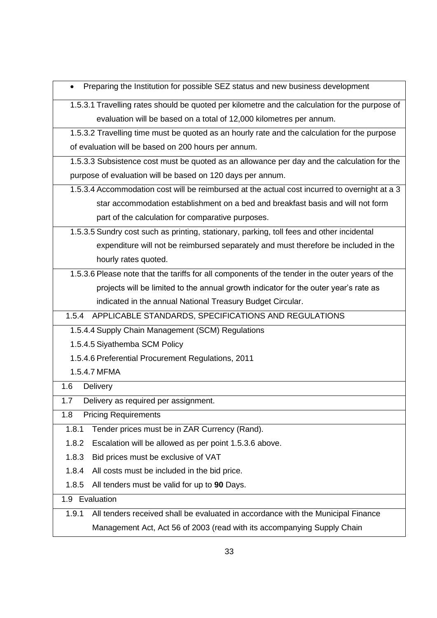• Preparing the Institution for possible SEZ status and new business development

1.5.3.1 Travelling rates should be quoted per kilometre and the calculation for the purpose of evaluation will be based on a total of 12,000 kilometres per annum.

1.5.3.2 Travelling time must be quoted as an hourly rate and the calculation for the purpose of evaluation will be based on 200 hours per annum.

1.5.3.3 Subsistence cost must be quoted as an allowance per day and the calculation for the purpose of evaluation will be based on 120 days per annum.

- 1.5.3.4 Accommodation cost will be reimbursed at the actual cost incurred to overnight at a 3 star accommodation establishment on a bed and breakfast basis and will not form part of the calculation for comparative purposes.
- 1.5.3.5 Sundry cost such as printing, stationary, parking, toll fees and other incidental expenditure will not be reimbursed separately and must therefore be included in the hourly rates quoted.

1.5.3.6 Please note that the tariffs for all components of the tender in the outer years of the projects will be limited to the annual growth indicator for the outer year's rate as indicated in the annual National Treasury Budget Circular.

1.5.4 APPLICABLE STANDARDS, SPECIFICATIONS AND REGULATIONS

1.5.4.4 Supply Chain Management (SCM) Regulations

1.5.4.5 Siyathemba SCM Policy

1.5.4.6 Preferential Procurement Regulations, 2011

1.5.4.7 MFMA

1.6 Delivery

1.7 Delivery as required per assignment.

1.8 Pricing Requirements

- 1.8.1 Tender prices must be in ZAR Currency (Rand).
- 1.8.2 Escalation will be allowed as per point 1.5.3.6 above.
- 1.8.3 Bid prices must be exclusive of VAT
- 1.8.4 All costs must be included in the bid price.
- 1.8.5 All tenders must be valid for up to **90** Days.

1.9 Evaluation

1.9.1 All tenders received shall be evaluated in accordance with the Municipal Finance Management Act, Act 56 of 2003 (read with its accompanying Supply Chain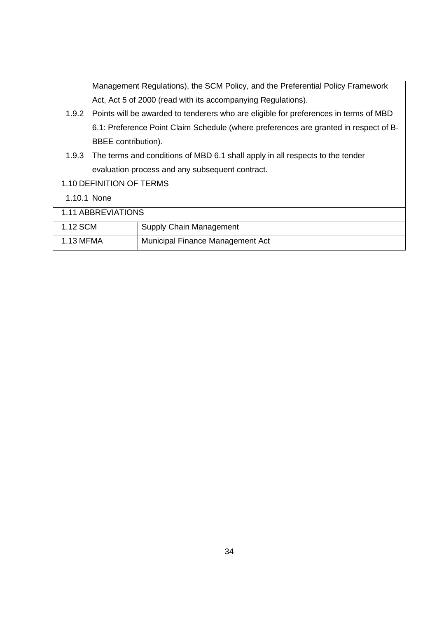|                                                 | Management Regulations), the SCM Policy, and the Preferential Policy Framework       |                                                                                            |  |  |  |
|-------------------------------------------------|--------------------------------------------------------------------------------------|--------------------------------------------------------------------------------------------|--|--|--|
|                                                 |                                                                                      | Act, Act 5 of 2000 (read with its accompanying Regulations).                               |  |  |  |
|                                                 |                                                                                      | 1.9.2 Points will be awarded to tenderers who are eligible for preferences in terms of MBD |  |  |  |
|                                                 | 6.1: Preference Point Claim Schedule (where preferences are granted in respect of B- |                                                                                            |  |  |  |
|                                                 | BBEE contribution).                                                                  |                                                                                            |  |  |  |
|                                                 | 1.9.3 The terms and conditions of MBD 6.1 shall apply in all respects to the tender  |                                                                                            |  |  |  |
| evaluation process and any subsequent contract. |                                                                                      |                                                                                            |  |  |  |
| 1.10 DEFINITION OF TERMS                        |                                                                                      |                                                                                            |  |  |  |
| 1.10.1 None                                     |                                                                                      |                                                                                            |  |  |  |
| 1.11 ABBREVIATIONS                              |                                                                                      |                                                                                            |  |  |  |
| 1.12 SCM                                        |                                                                                      | Supply Chain Management                                                                    |  |  |  |
| 1.13 MFMA                                       |                                                                                      | Municipal Finance Management Act                                                           |  |  |  |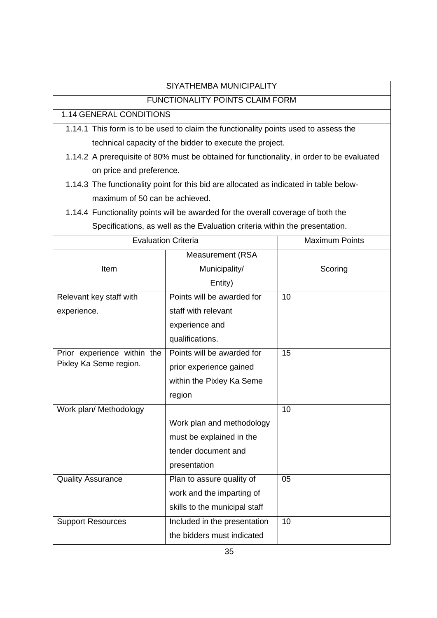| SIYATHEMBA MUNICIPALITY                                                                   |                            |         |  |  |  |  |  |
|-------------------------------------------------------------------------------------------|----------------------------|---------|--|--|--|--|--|
| <b>FUNCTIONALITY POINTS CLAIM FORM</b>                                                    |                            |         |  |  |  |  |  |
| 1.14 GENERAL CONDITIONS                                                                   |                            |         |  |  |  |  |  |
| 1.14.1 This form is to be used to claim the functionality points used to assess the       |                            |         |  |  |  |  |  |
| technical capacity of the bidder to execute the project.                                  |                            |         |  |  |  |  |  |
| 1.14.2 A prerequisite of 80% must be obtained for functionality, in order to be evaluated |                            |         |  |  |  |  |  |
| on price and preference.                                                                  |                            |         |  |  |  |  |  |
| 1.14.3 The functionality point for this bid are allocated as indicated in table below-    |                            |         |  |  |  |  |  |
| maximum of 50 can be achieved.                                                            |                            |         |  |  |  |  |  |
| 1.14.4 Functionality points will be awarded for the overall coverage of both the          |                            |         |  |  |  |  |  |
| Specifications, as well as the Evaluation criteria within the presentation.               |                            |         |  |  |  |  |  |
| <b>Evaluation Criteria</b>                                                                | <b>Maximum Points</b>      |         |  |  |  |  |  |
|                                                                                           | <b>Measurement (RSA</b>    |         |  |  |  |  |  |
| Item                                                                                      | Municipality/              | Scoring |  |  |  |  |  |
|                                                                                           | Entity)                    |         |  |  |  |  |  |
| Relevant key staff with                                                                   | Points will be awarded for | 10      |  |  |  |  |  |
| experience.                                                                               | staff with relevant        |         |  |  |  |  |  |
|                                                                                           | experience and             |         |  |  |  |  |  |
|                                                                                           | qualifications.            |         |  |  |  |  |  |
| Prior experience within the                                                               | Points will be awarded for | 15      |  |  |  |  |  |
| Pixley Ka Seme region.                                                                    | prior experience gained    |         |  |  |  |  |  |
|                                                                                           | within the Pixley Ka Seme  |         |  |  |  |  |  |
|                                                                                           | region                     |         |  |  |  |  |  |
| Work plan/ Methodology                                                                    |                            | 10      |  |  |  |  |  |
|                                                                                           | Work plan and methodology  |         |  |  |  |  |  |
|                                                                                           | must be explained in the   |         |  |  |  |  |  |
|                                                                                           | tender document and        |         |  |  |  |  |  |

05

10

work and the imparting of skills to the municipal staff

the bidders must indicated

presentation

Quality Assurance Plan to assure quality of

Support Resources **Included in the presentation**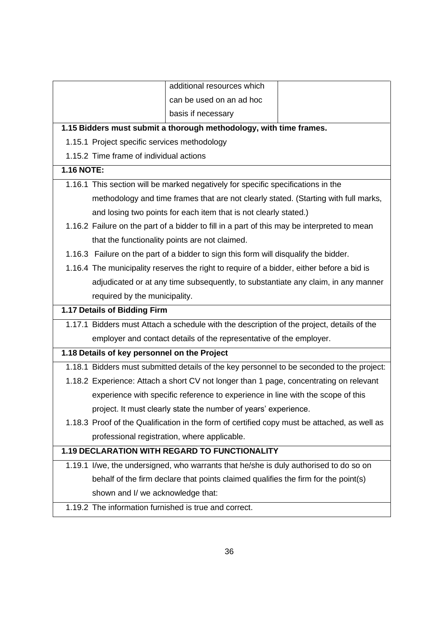|                                                                                             | additional resources which                                                                   |  |  |  |  |  |
|---------------------------------------------------------------------------------------------|----------------------------------------------------------------------------------------------|--|--|--|--|--|
|                                                                                             | can be used on an ad hoc                                                                     |  |  |  |  |  |
|                                                                                             | basis if necessary                                                                           |  |  |  |  |  |
| 1.15 Bidders must submit a thorough methodology, with time frames.                          |                                                                                              |  |  |  |  |  |
| 1.15.1 Project specific services methodology                                                |                                                                                              |  |  |  |  |  |
| 1.15.2 Time frame of individual actions                                                     |                                                                                              |  |  |  |  |  |
| <b>1.16 NOTE:</b>                                                                           |                                                                                              |  |  |  |  |  |
| 1.16.1 This section will be marked negatively for specific specifications in the            |                                                                                              |  |  |  |  |  |
| methodology and time frames that are not clearly stated. (Starting with full marks,         |                                                                                              |  |  |  |  |  |
| and losing two points for each item that is not clearly stated.)                            |                                                                                              |  |  |  |  |  |
| 1.16.2 Failure on the part of a bidder to fill in a part of this may be interpreted to mean |                                                                                              |  |  |  |  |  |
| that the functionality points are not claimed.                                              |                                                                                              |  |  |  |  |  |
|                                                                                             | 1.16.3 Failure on the part of a bidder to sign this form will disqualify the bidder.         |  |  |  |  |  |
|                                                                                             | 1.16.4 The municipality reserves the right to require of a bidder, either before a bid is    |  |  |  |  |  |
| adjudicated or at any time subsequently, to substantiate any claim, in any manner           |                                                                                              |  |  |  |  |  |
| required by the municipality.                                                               |                                                                                              |  |  |  |  |  |
| 1.17 Details of Bidding Firm                                                                |                                                                                              |  |  |  |  |  |
| 1.17.1 Bidders must Attach a schedule with the description of the project, details of the   |                                                                                              |  |  |  |  |  |
|                                                                                             | employer and contact details of the representative of the employer.                          |  |  |  |  |  |
| 1.18 Details of key personnel on the Project                                                |                                                                                              |  |  |  |  |  |
| 1.18.1 Bidders must submitted details of the key personnel to be seconded to the project:   |                                                                                              |  |  |  |  |  |
|                                                                                             | 1.18.2 Experience: Attach a short CV not longer than 1 page, concentrating on relevant       |  |  |  |  |  |
|                                                                                             | experience with specific reference to experience in line with the scope of this              |  |  |  |  |  |
|                                                                                             | project. It must clearly state the number of years' experience.                              |  |  |  |  |  |
|                                                                                             | 1.18.3 Proof of the Qualification in the form of certified copy must be attached, as well as |  |  |  |  |  |
|                                                                                             | professional registration, where applicable.                                                 |  |  |  |  |  |
| <b>1.19 DECLARATION WITH REGARD TO FUNCTIONALITY</b>                                        |                                                                                              |  |  |  |  |  |
|                                                                                             | 1.19.1 I/we, the undersigned, who warrants that he/she is duly authorised to do so on        |  |  |  |  |  |
|                                                                                             | behalf of the firm declare that points claimed qualifies the firm for the point(s)           |  |  |  |  |  |
| shown and I/ we acknowledge that:                                                           |                                                                                              |  |  |  |  |  |
| 1.19.2 The information furnished is true and correct.                                       |                                                                                              |  |  |  |  |  |
|                                                                                             |                                                                                              |  |  |  |  |  |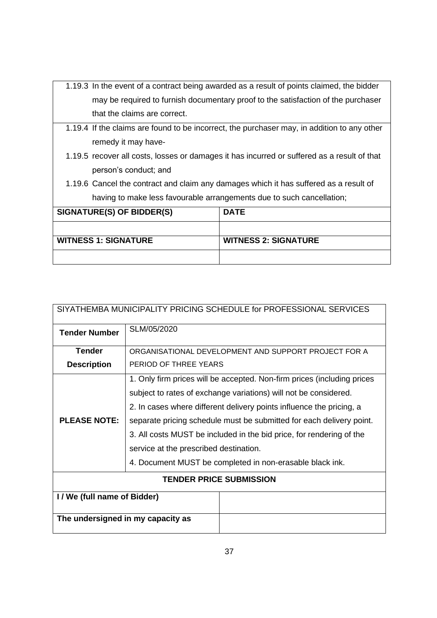|                              | 1.19.3 In the event of a contract being awarded as a result of points claimed, the bidder   |  |  |  |  |
|------------------------------|---------------------------------------------------------------------------------------------|--|--|--|--|
|                              | may be required to furnish documentary proof to the satisfaction of the purchaser           |  |  |  |  |
| that the claims are correct. |                                                                                             |  |  |  |  |
|                              | 1.19.4 If the claims are found to be incorrect, the purchaser may, in addition to any other |  |  |  |  |
| remedy it may have-          |                                                                                             |  |  |  |  |
|                              | 1.19.5 recover all costs, losses or damages it has incurred or suffered as a result of that |  |  |  |  |
| person's conduct; and        |                                                                                             |  |  |  |  |
|                              | 1.19.6 Cancel the contract and claim any damages which it has suffered as a result of       |  |  |  |  |
|                              | having to make less favourable arrangements due to such cancellation;                       |  |  |  |  |
| SIGNATURE(S) OF BIDDER(S)    | <b>DATE</b>                                                                                 |  |  |  |  |
|                              |                                                                                             |  |  |  |  |
| <b>WITNESS 1: SIGNATURE</b>  | <b>WITNESS 2: SIGNATURE</b>                                                                 |  |  |  |  |
|                              |                                                                                             |  |  |  |  |

| SIYATHEMBA MUNICIPALITY PRICING SCHEDULE for PROFESSIONAL SERVICES |                                                                         |  |  |  |
|--------------------------------------------------------------------|-------------------------------------------------------------------------|--|--|--|
| <b>Tender Number</b>                                               | SLM/05/2020                                                             |  |  |  |
| <b>Tender</b>                                                      | ORGANISATIONAL DEVELOPMENT AND SUPPORT PROJECT FOR A                    |  |  |  |
| <b>Description</b>                                                 | PERIOD OF THREE YEARS                                                   |  |  |  |
|                                                                    | 1. Only firm prices will be accepted. Non-firm prices (including prices |  |  |  |
|                                                                    | subject to rates of exchange variations) will not be considered.        |  |  |  |
|                                                                    | 2. In cases where different delivery points influence the pricing, a    |  |  |  |
| <b>PLEASE NOTE:</b>                                                | separate pricing schedule must be submitted for each delivery point.    |  |  |  |
|                                                                    | 3. All costs MUST be included in the bid price, for rendering of the    |  |  |  |
|                                                                    | service at the prescribed destination.                                  |  |  |  |
|                                                                    | 4. Document MUST be completed in non-erasable black ink.                |  |  |  |
| <b>TENDER PRICE SUBMISSION</b>                                     |                                                                         |  |  |  |
| I / We (full name of Bidder)                                       |                                                                         |  |  |  |
| The undersigned in my capacity as                                  |                                                                         |  |  |  |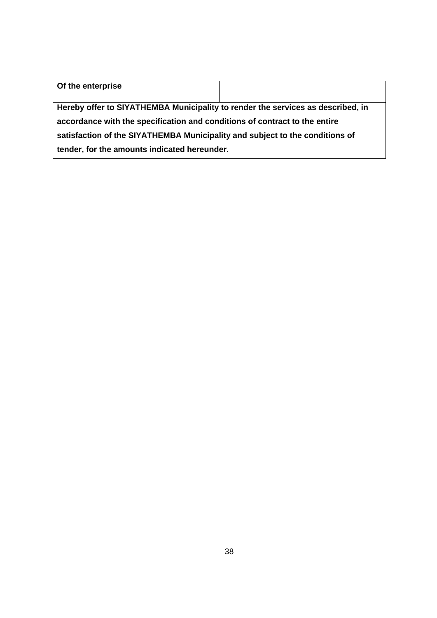| Of the enterprise                                                               |  |  |  |  |
|---------------------------------------------------------------------------------|--|--|--|--|
|                                                                                 |  |  |  |  |
| Hereby offer to SIYATHEMBA Municipality to render the services as described, in |  |  |  |  |
| accordance with the specification and conditions of contract to the entire      |  |  |  |  |
| satisfaction of the SIYATHEMBA Municipality and subject to the conditions of    |  |  |  |  |
| tender, for the amounts indicated hereunder.                                    |  |  |  |  |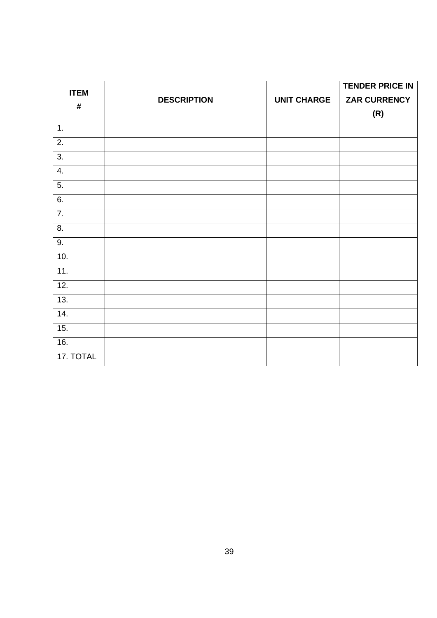| <b>ITEM</b>      |                    |                    | <b>TENDER PRICE IN</b> |
|------------------|--------------------|--------------------|------------------------|
| $\#$             | <b>DESCRIPTION</b> | <b>UNIT CHARGE</b> | <b>ZAR CURRENCY</b>    |
|                  |                    |                    | (R)                    |
| 1.               |                    |                    |                        |
| $\overline{2}$ . |                    |                    |                        |
| 3.               |                    |                    |                        |
| $\overline{4}$ . |                    |                    |                        |
| $\overline{5}$ . |                    |                    |                        |
| 6.               |                    |                    |                        |
| $\overline{7}$ . |                    |                    |                        |
| $\overline{8}$ . |                    |                    |                        |
| 9.               |                    |                    |                        |
| 10.              |                    |                    |                        |
| 11.              |                    |                    |                        |
| 12.              |                    |                    |                        |
| 13.              |                    |                    |                        |
| 14.              |                    |                    |                        |
| 15.              |                    |                    |                        |
| 16.              |                    |                    |                        |
| 17. TOTAL        |                    |                    |                        |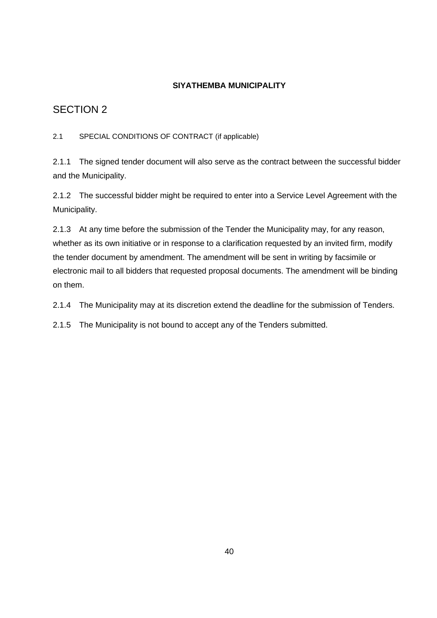# **SIYATHEMBA MUNICIPALITY**

# SECTION 2

2.1 SPECIAL CONDITIONS OF CONTRACT (if applicable)

2.1.1 The signed tender document will also serve as the contract between the successful bidder and the Municipality.

2.1.2 The successful bidder might be required to enter into a Service Level Agreement with the Municipality.

2.1.3 At any time before the submission of the Tender the Municipality may, for any reason, whether as its own initiative or in response to a clarification requested by an invited firm, modify the tender document by amendment. The amendment will be sent in writing by facsimile or electronic mail to all bidders that requested proposal documents. The amendment will be binding on them.

2.1.4 The Municipality may at its discretion extend the deadline for the submission of Tenders.

2.1.5 The Municipality is not bound to accept any of the Tenders submitted.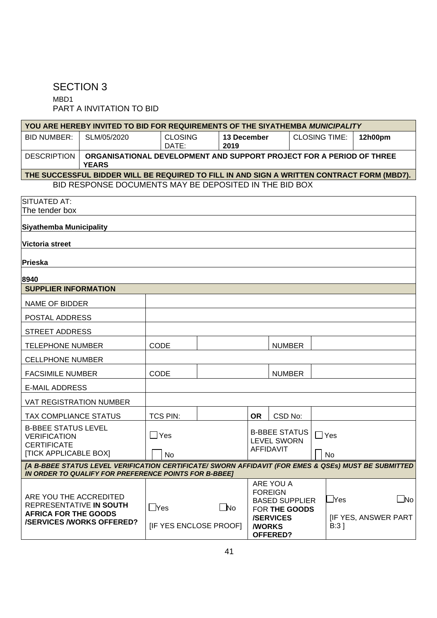# SECTION 3

MBD1 PART A INVITATION TO BID

| YOU ARE HEREBY INVITED TO BID FOR REQUIREMENTS OF THE SIYATHEMBA MUNICIPALITY                                                                                 |                                                                                      |                                |           |      |                     |                                        |    |                                         |                            |           |
|---------------------------------------------------------------------------------------------------------------------------------------------------------------|--------------------------------------------------------------------------------------|--------------------------------|-----------|------|---------------------|----------------------------------------|----|-----------------------------------------|----------------------------|-----------|
| <b>BID NUMBER:</b>                                                                                                                                            | SLM/05/2020                                                                          | <b>CLOSING</b><br>DATE:        |           | 2019 | 13 December         |                                        |    | <b>CLOSING TIME:</b>                    | 12h00pm                    |           |
| <b>DESCRIPTION</b>                                                                                                                                            | ORGANISATIONAL DEVELOPMENT AND SUPPORT PROJECT FOR A PERIOD OF THREE<br><b>YEARS</b> |                                |           |      |                     |                                        |    |                                         |                            |           |
| THE SUCCESSFUL BIDDER WILL BE REQUIRED TO FILL IN AND SIGN A WRITTEN CONTRACT FORM (MBD7).                                                                    |                                                                                      |                                |           |      |                     |                                        |    |                                         |                            |           |
|                                                                                                                                                               | BID RESPONSE DOCUMENTS MAY BE DEPOSITED IN THE BID BOX                               |                                |           |      |                     |                                        |    |                                         |                            |           |
| SITUATED AT:                                                                                                                                                  |                                                                                      |                                |           |      |                     |                                        |    |                                         |                            |           |
| The tender box                                                                                                                                                |                                                                                      |                                |           |      |                     |                                        |    |                                         |                            |           |
| <b>Siyathemba Municipality</b>                                                                                                                                |                                                                                      |                                |           |      |                     |                                        |    |                                         |                            |           |
| Victoria street                                                                                                                                               |                                                                                      |                                |           |      |                     |                                        |    |                                         |                            |           |
| Prieska                                                                                                                                                       |                                                                                      |                                |           |      |                     |                                        |    |                                         |                            |           |
| 8940                                                                                                                                                          |                                                                                      |                                |           |      |                     |                                        |    |                                         |                            |           |
| <b>SUPPLIER INFORMATION</b>                                                                                                                                   |                                                                                      |                                |           |      |                     |                                        |    |                                         |                            |           |
| NAME OF BIDDER                                                                                                                                                |                                                                                      |                                |           |      |                     |                                        |    |                                         |                            |           |
| POSTAL ADDRESS                                                                                                                                                |                                                                                      |                                |           |      |                     |                                        |    |                                         |                            |           |
| <b>STREET ADDRESS</b>                                                                                                                                         |                                                                                      |                                |           |      |                     |                                        |    |                                         |                            |           |
| <b>TELEPHONE NUMBER</b>                                                                                                                                       |                                                                                      | CODE                           |           |      |                     | <b>NUMBER</b>                          |    |                                         |                            |           |
| <b>CELLPHONE NUMBER</b>                                                                                                                                       |                                                                                      |                                |           |      |                     |                                        |    |                                         |                            |           |
| <b>FACSIMILE NUMBER</b>                                                                                                                                       |                                                                                      | CODE                           |           |      |                     | <b>NUMBER</b>                          |    |                                         |                            |           |
| <b>E-MAIL ADDRESS</b>                                                                                                                                         |                                                                                      |                                |           |      |                     |                                        |    |                                         |                            |           |
| <b>VAT REGISTRATION NUMBER</b>                                                                                                                                |                                                                                      |                                |           |      |                     |                                        |    |                                         |                            |           |
| TAX COMPLIANCE STATUS                                                                                                                                         |                                                                                      | <b>TCS PIN:</b>                |           |      | <b>OR</b>           | CSD No:                                |    |                                         |                            |           |
| <b>B-BBEE STATUS LEVEL</b><br><b>VERIFICATION</b>                                                                                                             |                                                                                      | $\Box$ Yes                     |           |      |                     | <b>B-BBEE STATUS</b>                   |    | $\square$ Yes                           |                            |           |
| <b>CERTIFICATE</b>                                                                                                                                            |                                                                                      |                                |           |      |                     | <b>LEVEL SWORN</b><br><b>AFFIDAVIT</b> |    |                                         |                            |           |
| [TICK APPLICABLE BOX]                                                                                                                                         |                                                                                      | $\overline{\phantom{0}}$<br>No |           |      |                     |                                        | □. | No                                      |                            |           |
| [A B-BBEE STATUS LEVEL VERIFICATION CERTIFICATE/ SWORN AFFIDAVIT (FOR EMES & QSEs) MUST BE SUBMITTED<br>IN ORDER TO QUALIFY FOR PREFERENCE POINTS FOR B-BBEET |                                                                                      |                                |           |      |                     |                                        |    |                                         |                            |           |
|                                                                                                                                                               |                                                                                      |                                |           |      |                     | ARE YOU A                              |    |                                         |                            |           |
|                                                                                                                                                               |                                                                                      |                                |           |      |                     | <b>FOREIGN</b>                         |    |                                         |                            |           |
| ARE YOU THE ACCREDITED<br>REPRESENTATIVE IN SOUTH                                                                                                             |                                                                                      |                                |           |      |                     | <b>BASED SUPPLIER</b>                  |    | $\mathbin{{\color{black} \lambda}}$ Yes |                            | $\Box$ No |
| <b>AFRICA FOR THE GOODS</b>                                                                                                                                   |                                                                                      | $\square$ Yes                  | $\Box$ No |      |                     | FOR THE GOODS<br><b>/SERVICES</b>      |    |                                         | <b>IF YES, ANSWER PART</b> |           |
| <b>/SERVICES/WORKS OFFERED?</b>                                                                                                                               |                                                                                      | [IF YES ENCLOSE PROOF]         |           |      | <b><i>N</i>ORKS</b> |                                        |    | $B:3$ ]                                 |                            |           |
|                                                                                                                                                               |                                                                                      |                                |           |      |                     | OFFERED?                               |    |                                         |                            |           |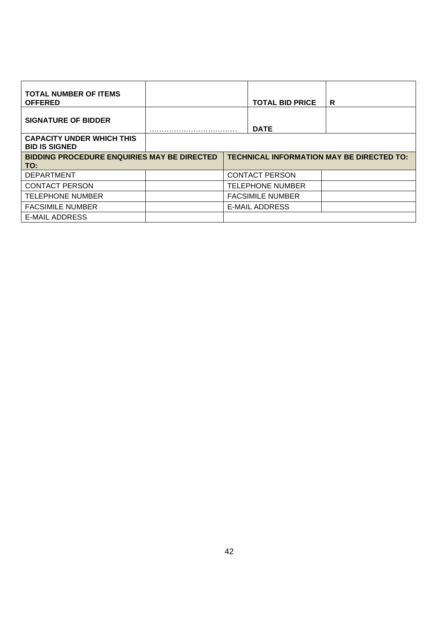| <b>TOTAL NUMBER OF ITEMS</b><br><b>OFFERED</b>            |  |                                                  | <b>TOTAL BID PRICE</b>  | R |
|-----------------------------------------------------------|--|--------------------------------------------------|-------------------------|---|
| <b>SIGNATURE OF BIDDER</b>                                |  |                                                  | <b>DATE</b>             |   |
| <b>CAPACITY UNDER WHICH THIS</b><br><b>BID IS SIGNED</b>  |  |                                                  |                         |   |
| <b>BIDDING PROCEDURE ENQUIRIES MAY BE DIRECTED</b><br>TO: |  | <b>TECHNICAL INFORMATION MAY BE DIRECTED TO:</b> |                         |   |
| <b>DEPARTMENT</b>                                         |  |                                                  | <b>CONTACT PERSON</b>   |   |
| <b>CONTACT PERSON</b>                                     |  |                                                  | <b>TELEPHONE NUMBER</b> |   |
| <b>TELEPHONE NUMBER</b>                                   |  |                                                  | <b>FACSIMILE NUMBER</b> |   |
| <b>FACSIMILE NUMBER</b>                                   |  |                                                  | E-MAIL ADDRESS          |   |
| E-MAIL ADDRESS                                            |  |                                                  |                         |   |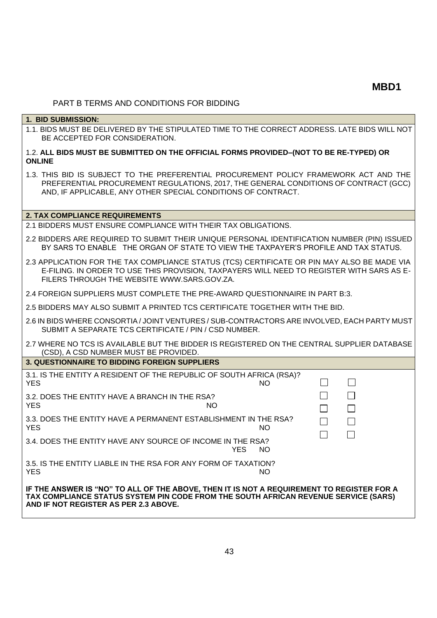#### PART B TERMS AND CONDITIONS FOR BIDDING

#### **1. BID SUBMISSION:**

1.1. BIDS MUST BE DELIVERED BY THE STIPULATED TIME TO THE CORRECT ADDRESS. LATE BIDS WILL NOT BE ACCEPTED FOR CONSIDERATION.

#### 1.2. **ALL BIDS MUST BE SUBMITTED ON THE OFFICIAL FORMS PROVIDED–(NOT TO BE RE-TYPED) OR ONLINE**

1.3. THIS BID IS SUBJECT TO THE PREFERENTIAL PROCUREMENT POLICY FRAMEWORK ACT AND THE PREFERENTIAL PROCUREMENT REGULATIONS, 2017, THE GENERAL CONDITIONS OF CONTRACT (GCC) AND, IF APPLICABLE, ANY OTHER SPECIAL CONDITIONS OF CONTRACT.

#### **2. TAX COMPLIANCE REQUIREMENTS**

2.1 BIDDERS MUST ENSURE COMPLIANCE WITH THEIR TAX OBLIGATIONS.

- 2.2 BIDDERS ARE REQUIRED TO SUBMIT THEIR UNIQUE PERSONAL IDENTIFICATION NUMBER (PIN) ISSUED BY SARS TO ENABLE THE ORGAN OF STATE TO VIEW THE TAXPAYER'S PROFILE AND TAX STATUS.
- 2.3 APPLICATION FOR THE TAX COMPLIANCE STATUS (TCS) CERTIFICATE OR PIN MAY ALSO BE MADE VIA E-FILING. IN ORDER TO USE THIS PROVISION, TAXPAYERS WILL NEED TO REGISTER WITH SARS AS E-FILERS THROUGH THE WEBSITE [WWW.SARS.GOV.ZA.](http://www.sars.gov.za/)
- 2.4 FOREIGN SUPPLIERS MUST COMPLETE THE PRE-AWARD QUESTIONNAIRE IN PART B:3.
- 2.5 BIDDERS MAY ALSO SUBMIT A PRINTED TCS CERTIFICATE TOGETHER WITH THE BID.
- 2.6 IN BIDS WHERE CONSORTIA / JOINT VENTURES / SUB-CONTRACTORS ARE INVOLVED, EACH PARTY MUST SUBMIT A SEPARATE TCS CERTIFICATE / PIN / CSD NUMBER.
- 2.7 WHERE NO TCS IS AVAILABLE BUT THE BIDDER IS REGISTERED ON THE CENTRAL SUPPLIER DATABASE (CSD), A CSD NUMBER MUST BE PROVIDED. **3. QUESTIONNAIRE TO BIDDING FOREIGN SUPPLIERS**

| 3. QUESTIONNAIRE TO BIDDING FOREIGN SUPPLIERS                                                                                                                                                                             |             |  |
|---------------------------------------------------------------------------------------------------------------------------------------------------------------------------------------------------------------------------|-------------|--|
| 3.1. IS THE ENTITY A RESIDENT OF THE REPUBLIC OF SOUTH AFRICA (RSA)?<br><b>YES</b>                                                                                                                                        | NO.         |  |
| 3.2. DOES THE ENTITY HAVE A BRANCH IN THE RSA?<br><b>YES</b><br>NO.                                                                                                                                                       |             |  |
| 3.3. DOES THE ENTITY HAVE A PERMANENT ESTABLISHMENT IN THE RSA?<br><b>YES</b>                                                                                                                                             | NO.         |  |
| 3.4. DOES THE ENTITY HAVE ANY SOURCE OF INCOME IN THE RSA?                                                                                                                                                                | YES.<br>NO. |  |
| 3.5. IS THE ENTITY LIABLE IN THE RSA FOR ANY FORM OF TAXATION?<br><b>YES</b>                                                                                                                                              | NO.         |  |
| IF THE ANSWER IS "NO" TO ALL OF THE ABOVE, THEN IT IS NOT A REQUIREMENT TO REGISTER FOR A<br>TAX COMPLIANCE STATUS SYSTEM PIN CODE FROM THE SOUTH AFRICAN REVENUE SERVICE (SARS)<br>AND IF NOT REGISTER AS PER 2.3 ABOVE. |             |  |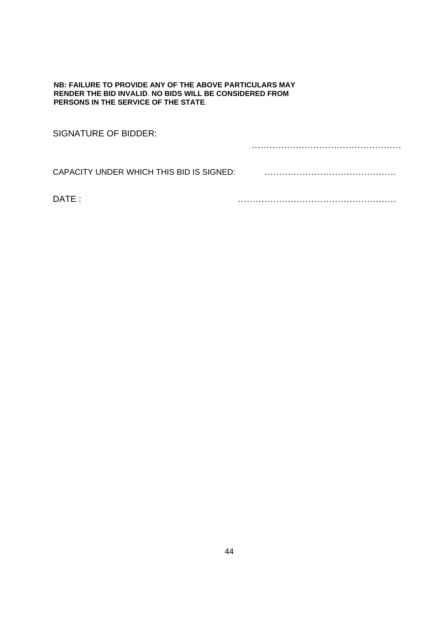#### **NB: FAILURE TO PROVIDE ANY OF THE ABOVE PARTICULARS MAY RENDER THE BID INVALID**. **NO BIDS WILL BE CONSIDERED FROM PERSONS IN THE SERVICE OF THE STATE**.

| SIGNATURE OF BIDDER:                     |  |
|------------------------------------------|--|
|                                          |  |
| CAPACITY UNDER WHICH THIS BID IS SIGNED: |  |
| DATE :                                   |  |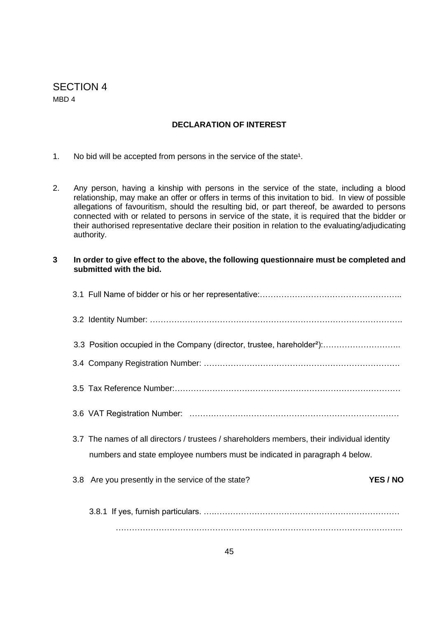# SECTION 4 MBD 4

# **DECLARATION OF INTEREST**

- 1. No bid will be accepted from persons in the service of the state<sup>1</sup>.
- 2. Any person, having a kinship with persons in the service of the state, including a blood relationship, may make an offer or offers in terms of this invitation to bid. In view of possible allegations of favouritism, should the resulting bid, or part thereof, be awarded to persons connected with or related to persons in service of the state, it is required that the bidder or their authorised representative declare their position in relation to the evaluating/adjudicating authority.
- **3 In order to give effect to the above, the following questionnaire must be completed and submitted with the bid.**

| 3.3 Position occupied in the Company (director, trustee, hareholder <sup>2</sup> ):         |
|---------------------------------------------------------------------------------------------|
|                                                                                             |
|                                                                                             |
|                                                                                             |
| 3.7 The names of all directors / trustees / shareholders members, their individual identity |
| numbers and state employee numbers must be indicated in paragraph 4 below.                  |
| YES / NO<br>3.8 Are you presently in the service of the state?                              |
|                                                                                             |
|                                                                                             |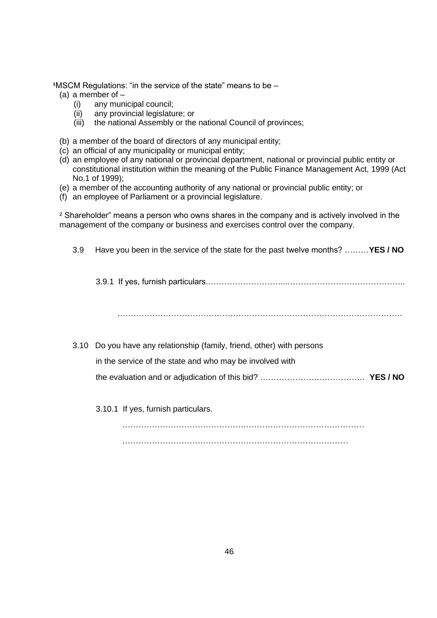**1MSCM Regulations: "in the service of the state" means to be –** 

- (a) a member of
	- (i) any municipal council;
	- (ii) any provincial legislature; or
	- (iii) the national Assembly or the national Council of provinces;
- (b) a member of the board of directors of any municipal entity;
- (c) an official of any municipality or municipal entity;
- (d) an employee of any national or provincial department, national or provincial public entity or constitutional institution within the meaning of the Public Finance Management Act, 1999 (Act No.1 of 1999);
- (e) a member of the accounting authority of any national or provincial public entity; or
- (f) an employee of Parliament or a provincial legislature.

² Shareholder" means a person who owns shares in the company and is actively involved in the management of the company or business and exercises control over the company.

3.9 Have you been in the service of the state for the past twelve months? ………**YES / NO**

3.9.1 If yes, furnish particulars.………………………...……………………………………..

…………………………………………………………………………………………….

3.10 Do you have any relationship (family, friend, other) with persons in the service of the state and who may be involved with the evaluation and or adjudication of this bid? ………………………………… **YES / NO**

3.10.1 If yes, furnish particulars.

…………………………………………………………………………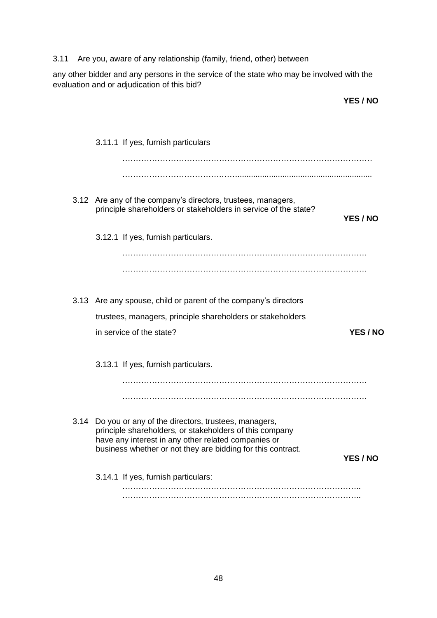# 3.11 Are you, aware of any relationship (family, friend, other) between

any other bidder and any persons in the service of the state who may be involved with the evaluation and or adjudication of this bid?

**YES / NO**

|  | 3.11.1 If yes, furnish particulars                                                                                                                                                                                                        |          |
|--|-------------------------------------------------------------------------------------------------------------------------------------------------------------------------------------------------------------------------------------------|----------|
|  |                                                                                                                                                                                                                                           |          |
|  |                                                                                                                                                                                                                                           |          |
|  | 3.12 Are any of the company's directors, trustees, managers,<br>principle shareholders or stakeholders in service of the state?                                                                                                           | YES / NO |
|  | 3.12.1 If yes, furnish particulars.                                                                                                                                                                                                       |          |
|  |                                                                                                                                                                                                                                           |          |
|  |                                                                                                                                                                                                                                           |          |
|  |                                                                                                                                                                                                                                           |          |
|  | 3.13 Are any spouse, child or parent of the company's directors                                                                                                                                                                           |          |
|  | trustees, managers, principle shareholders or stakeholders                                                                                                                                                                                |          |
|  | in service of the state?                                                                                                                                                                                                                  | YES / NO |
|  |                                                                                                                                                                                                                                           |          |
|  | 3.13.1 If yes, furnish particulars.                                                                                                                                                                                                       |          |
|  |                                                                                                                                                                                                                                           |          |
|  |                                                                                                                                                                                                                                           |          |
|  | 3.14 Do you or any of the directors, trustees, managers,<br>principle shareholders, or stakeholders of this company<br>have any interest in any other related companies or<br>business whether or not they are bidding for this contract. |          |
|  |                                                                                                                                                                                                                                           | YES / NO |
|  | 3.14.1 If yes, furnish particulars:                                                                                                                                                                                                       |          |
|  |                                                                                                                                                                                                                                           |          |
|  |                                                                                                                                                                                                                                           |          |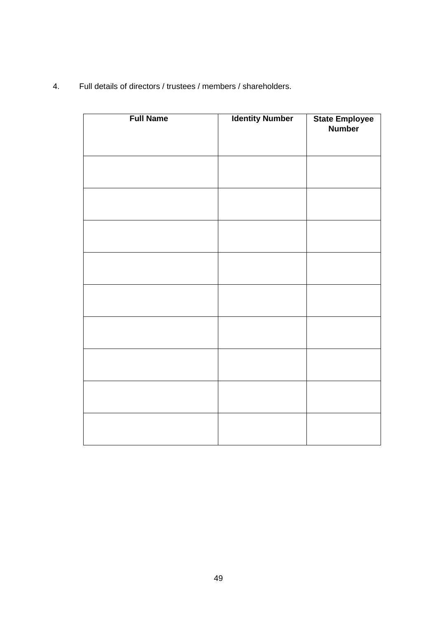| 4. |  |  |  |  | Full details of directors / trustees / members / shareholders. |
|----|--|--|--|--|----------------------------------------------------------------|
|----|--|--|--|--|----------------------------------------------------------------|

| <b>Full Name</b> | <b>Identity Number</b> | State Employee<br>Number |
|------------------|------------------------|--------------------------|
|                  |                        |                          |
|                  |                        |                          |
|                  |                        |                          |
|                  |                        |                          |
|                  |                        |                          |
|                  |                        |                          |
|                  |                        |                          |
|                  |                        |                          |
|                  |                        |                          |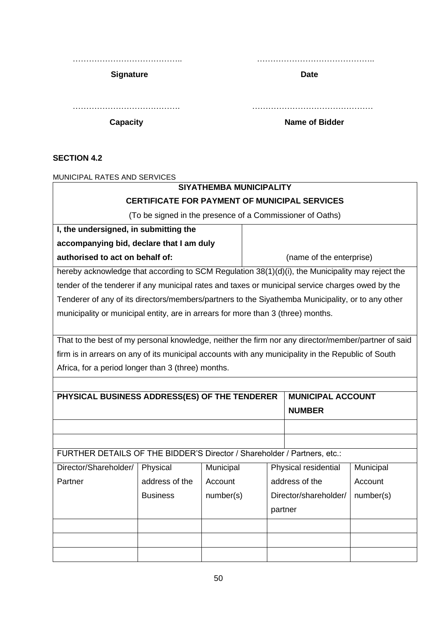**Signature Date** 

………………………………….. ……………………………………..

…………………………………. ………………………………………

**Capacity Capacity Capacity Capacity Name of Bidder** 

# **SECTION 4.2**

MUNICIPAL RATES AND SERVICES

# **SIYATHEMBA MUNICIPALITY**

# **CERTIFICATE FOR PAYMENT OF MUNICIPAL SERVICES**

(To be signed in the presence of a Commissioner of Oaths)

| I, the undersigned, in submitting the                                                             |                          |
|---------------------------------------------------------------------------------------------------|--------------------------|
| accompanying bid, declare that I am duly                                                          |                          |
| authorised to act on behalf of:                                                                   | (name of the enterprise) |
| hereby acknowledge that according to SCM Regulation 38(1)(d)(i), the Municipality may reject the  |                          |
| tender of the tenderer if any municipal rates and taxes or municipal service charges owed by the  |                          |
| Tenderer of any of its directors/members/partners to the Siyathemba Municipality, or to any other |                          |
| municipality or municipal entity, are in arrears for more than 3 (three) months.                  |                          |

That to the best of my personal knowledge, neither the firm nor any director/member/partner of said firm is in arrears on any of its municipal accounts with any municipality in the Republic of South Africa, for a period longer than 3 (three) months.

| PHYSICAL BUSINESS ADDRESS(ES) OF THE TENDERER                            |                 |           | <b>MUNICIPAL ACCOUNT</b> |                       |           |
|--------------------------------------------------------------------------|-----------------|-----------|--------------------------|-----------------------|-----------|
|                                                                          |                 |           |                          | <b>NUMBER</b>         |           |
|                                                                          |                 |           |                          |                       |           |
|                                                                          |                 |           |                          |                       |           |
| FURTHER DETAILS OF THE BIDDER'S Director / Shareholder / Partners, etc.: |                 |           |                          |                       |           |
| Director/Shareholder/                                                    | Physical        | Municipal |                          | Physical residential  | Municipal |
| Partner                                                                  | address of the  | Account   |                          | address of the        | Account   |
|                                                                          | <b>Business</b> | number(s) |                          | Director/shareholder/ | number(s) |
|                                                                          |                 |           |                          | partner               |           |
|                                                                          |                 |           |                          |                       |           |
|                                                                          |                 |           |                          |                       |           |
|                                                                          |                 |           |                          |                       |           |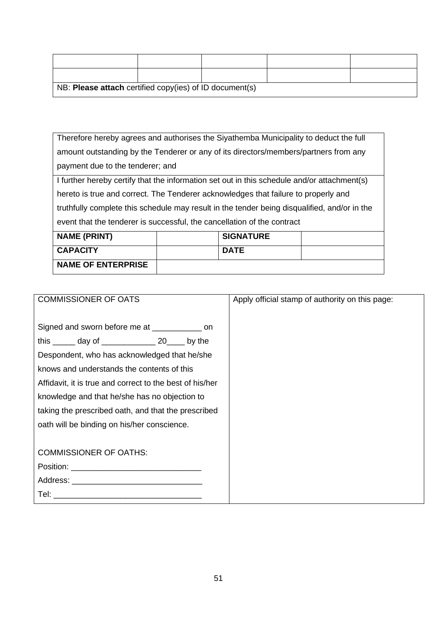| NB: Please attach certified copy(ies) of ID document(s) |  |  |
|---------------------------------------------------------|--|--|

Therefore hereby agrees and authorises the Siyathemba Municipality to deduct the full amount outstanding by the Tenderer or any of its directors/members/partners from any payment due to the tenderer; and

I further hereby certify that the information set out in this schedule and/or attachment(s) hereto is true and correct. The Tenderer acknowledges that failure to properly and truthfully complete this schedule may result in the tender being disqualified, and/or in the event that the tenderer is successful, the cancellation of the contract

| <b>NAME (PRINT)</b>       |             | <b>SIGNATURE</b> |  |
|---------------------------|-------------|------------------|--|
| <b>CAPACITY</b>           | <b>DATE</b> |                  |  |
| <b>NAME OF ENTERPRISE</b> |             |                  |  |

| <b>COMMISSIONER OF OATS</b>                                                                                                                                                                                                                                                                                                                                            | Apply official stamp of authority on this page: |
|------------------------------------------------------------------------------------------------------------------------------------------------------------------------------------------------------------------------------------------------------------------------------------------------------------------------------------------------------------------------|-------------------------------------------------|
| Signed and sworn before me at ______________ on<br>this $\frac{1}{2}$ day of $\frac{1}{2}$ 20 by the<br>Despondent, who has acknowledged that he/she<br>knows and understands the contents of this<br>Affidavit, it is true and correct to the best of his/her<br>knowledge and that he/she has no objection to<br>taking the prescribed oath, and that the prescribed |                                                 |
| oath will be binding on his/her conscience.                                                                                                                                                                                                                                                                                                                            |                                                 |
| <b>COMMISSIONER OF OATHS:</b>                                                                                                                                                                                                                                                                                                                                          |                                                 |
|                                                                                                                                                                                                                                                                                                                                                                        |                                                 |
|                                                                                                                                                                                                                                                                                                                                                                        |                                                 |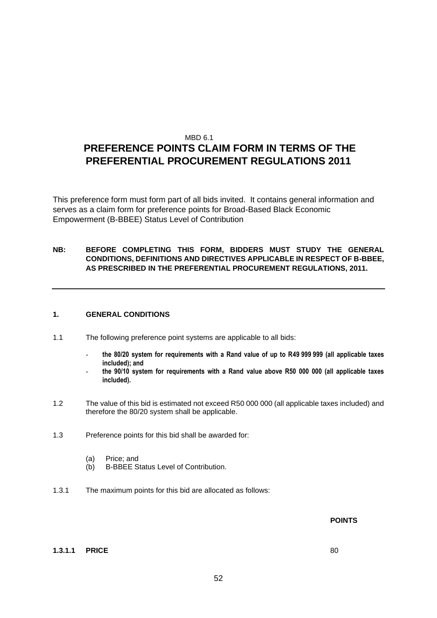#### MBD 6.1

# **PREFERENCE POINTS CLAIM FORM IN TERMS OF THE PREFERENTIAL PROCUREMENT REGULATIONS 2011**

This preference form must form part of all bids invited. It contains general information and serves as a claim form for preference points for Broad-Based Black Economic Empowerment (B-BBEE) Status Level of Contribution

#### **NB: BEFORE COMPLETING THIS FORM, BIDDERS MUST STUDY THE GENERAL CONDITIONS, DEFINITIONS AND DIRECTIVES APPLICABLE IN RESPECT OF B-BBEE, AS PRESCRIBED IN THE PREFERENTIAL PROCUREMENT REGULATIONS, 2011.**

#### **1. GENERAL CONDITIONS**

- 1.1 The following preference point systems are applicable to all bids:
	- **the 80/20 system for requirements with a Rand value of up to R49 999 999 (all applicable taxes included); and**
	- **the 90/10 system for requirements with a Rand value above R50 000 000 (all applicable taxes included).**
- 1.2 The value of this bid is estimated not exceed R50 000 000 (all applicable taxes included) and therefore the 80/20 system shall be applicable.
- 1.3 Preference points for this bid shall be awarded for:
	- (a) Price; and
	- (b) B-BBEE Status Level of Contribution.
- 1.3.1 The maximum points for this bid are allocated as follows:

#### **POINTS**

#### **1.3.1.1 PRICE** 80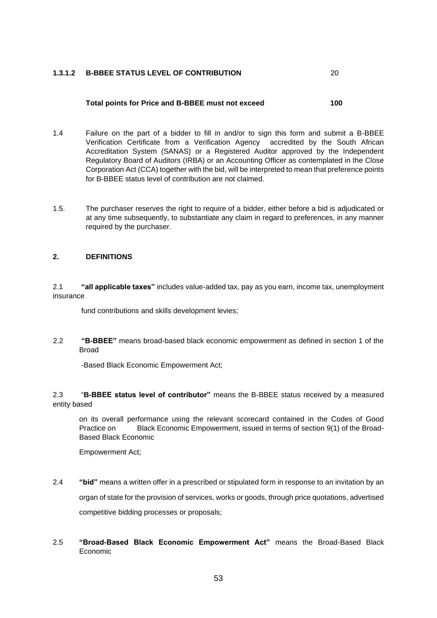#### **1.3.1.2 B-BBEE STATUS LEVEL OF CONTRIBUTION** 20

#### **Total points for Price and B-BBEE must not exceed 100**

- 1.4 Failure on the part of a bidder to fill in and/or to sign this form and submit a B-BBEE Verification Certificate from a Verification Agency accredited by the South African Accreditation System (SANAS) or a Registered Auditor approved by the Independent Regulatory Board of Auditors (IRBA) or an Accounting Officer as contemplated in the Close Corporation Act (CCA) together with the bid, will be interpreted to mean that preference points for B-BBEE status level of contribution are not claimed.
- 1.5. The purchaser reserves the right to require of a bidder, either before a bid is adjudicated or at any time subsequently, to substantiate any claim in regard to preferences, in any manner required by the purchaser.

#### **2. DEFINITIONS**

2.1 **"all applicable taxes"** includes value-added tax, pay as you earn, income tax, unemployment insurance

fund contributions and skills development levies;

2.2 **"B-BBEE"** means broad-based black economic empowerment as defined in section 1 of the Broad

-Based Black Economic Empowerment Act;

2.3 "**B-BBEE status level of contributor"** means the B-BBEE status received by a measured entity based

on its overall performance using the relevant scorecard contained in the Codes of Good Practice on Black Economic Empowerment, issued in terms of section 9(1) of the Broad-Based Black Economic

Empowerment Act;

- 2.4 **"bid"** means a written offer in a prescribed or stipulated form in response to an invitation by an organ of state for the provision of services, works or goods, through price quotations, advertised competitive bidding processes or proposals;
- 2.5 **"Broad-Based Black Economic Empowerment Act"** means the Broad-Based Black Economic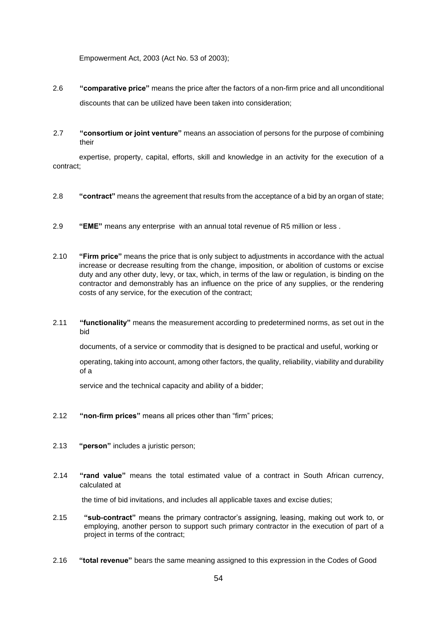Empowerment Act, 2003 (Act No. 53 of 2003);

- 2.6 **"comparative price"** means the price after the factors of a non-firm price and all unconditional discounts that can be utilized have been taken into consideration;
- 2.7 **"consortium or joint venture"** means an association of persons for the purpose of combining their

expertise, property, capital, efforts, skill and knowledge in an activity for the execution of a contract;

- 2.8 **"contract"** means the agreement that results from the acceptance of a bid by an organ of state;
- 2.9 **"EME"** means any enterprise with an annual total revenue of R5 million or less .
- 2.10 **"Firm price"** means the price that is only subject to adjustments in accordance with the actual increase or decrease resulting from the change, imposition, or abolition of customs or excise duty and any other duty, levy, or tax, which, in terms of the law or regulation, is binding on the contractor and demonstrably has an influence on the price of any supplies, or the rendering costs of any service, for the execution of the contract;
- 2.11 **"functionality"** means the measurement according to predetermined norms, as set out in the bid

documents, of a service or commodity that is designed to be practical and useful, working or

 operating, taking into account, among other factors, the quality, reliability, viability and durability of a

service and the technical capacity and ability of a bidder;

- 2.12 **"non-firm prices"** means all prices other than "firm" prices;
- 2.13 **"person"** includes a juristic person;
- 2.14 **"rand value"** means the total estimated value of a contract in South African currency, calculated at

the time of bid invitations, and includes all applicable taxes and excise duties;

- 2.15 **"sub-contract"** means the primary contractor's assigning, leasing, making out work to, or employing, another person to support such primary contractor in the execution of part of a project in terms of the contract;
- 2.16 **"total revenue"** bears the same meaning assigned to this expression in the Codes of Good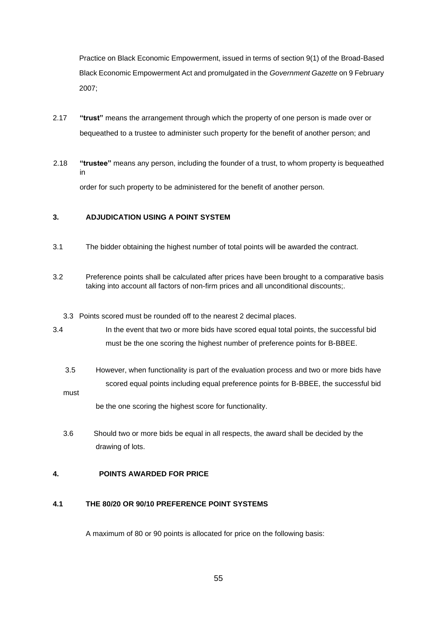Practice on Black Economic Empowerment, issued in terms of section 9(1) of the Broad-Based Black Economic Empowerment Act and promulgated in the *Government Gazette* on 9 February 2007;

- 2.17 **"trust"** means the arrangement through which the property of one person is made over or bequeathed to a trustee to administer such property for the benefit of another person; and
- 2.18 **"trustee"** means any person, including the founder of a trust, to whom property is bequeathed in order for such property to be administered for the benefit of another person.

#### **3. ADJUDICATION USING A POINT SYSTEM**

- 3.1 The bidder obtaining the highest number of total points will be awarded the contract.
- 3.2 Preference points shall be calculated after prices have been brought to a comparative basis taking into account all factors of non-firm prices and all unconditional discounts;.
	- 3.3 Points scored must be rounded off to the nearest 2 decimal places.
- 3.4 In the event that two or more bids have scored equal total points, the successful bid must be the one scoring the highest number of preference points for B-BBEE.
	- 3.5 However, when functionality is part of the evaluation process and two or more bids have scored equal points including equal preference points for B-BBEE, the successful bid must

be the one scoring the highest score for functionality.

3.6 Should two or more bids be equal in all respects, the award shall be decided by the drawing of lots.

#### **4. POINTS AWARDED FOR PRICE**

#### **4.1 THE 80/20 OR 90/10 PREFERENCE POINT SYSTEMS**

A maximum of 80 or 90 points is allocated for price on the following basis: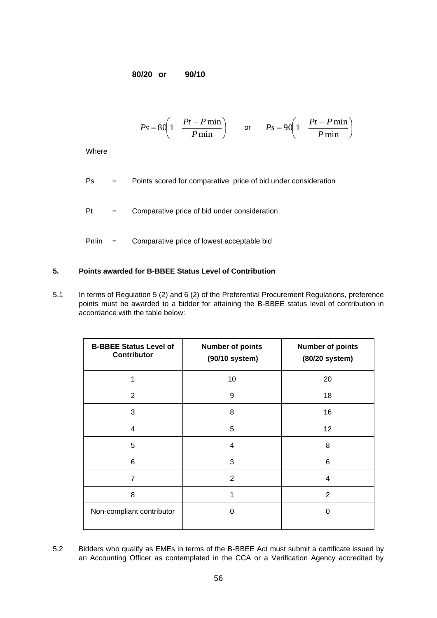**80/20 or 90/10**

$$
Ps = 80 \left( 1 - \frac{Pt - P \min}{P \min} \right) \qquad \text{or} \qquad Ps = 90 \left( 1 - \frac{Pt - P \min}{P \min} \right)
$$

**Where** 

- Ps = Points scored for comparative price of bid under consideration
- Pt = Comparative price of bid under consideration
- Pmin = Comparative price of lowest acceptable bid

#### **5. Points awarded for B-BBEE Status Level of Contribution**

5.1 In terms of Regulation 5 (2) and 6 (2) of the Preferential Procurement Regulations, preference points must be awarded to a bidder for attaining the B-BBEE status level of contribution in accordance with the table below:

| <b>B-BBEE Status Level of</b><br><b>Contributor</b> | <b>Number of points</b><br>(90/10 system) | <b>Number of points</b><br>(80/20 system) |
|-----------------------------------------------------|-------------------------------------------|-------------------------------------------|
| 1                                                   | 10                                        | 20                                        |
| $\overline{2}$                                      | 9                                         | 18                                        |
| 3                                                   | 8                                         | 16                                        |
| $\overline{4}$                                      | 5                                         | 12                                        |
| 5                                                   | 4                                         | 8                                         |
| 6                                                   | 3                                         | 6                                         |
| $\overline{7}$                                      | $\overline{2}$                            | 4                                         |
| 8                                                   | 1                                         | $\overline{2}$                            |
| Non-compliant contributor                           | 0                                         | $\Omega$                                  |

5.2 Bidders who qualify as EMEs in terms of the B-BBEE Act must submit a certificate issued by an Accounting Officer as contemplated in the CCA or a Verification Agency accredited by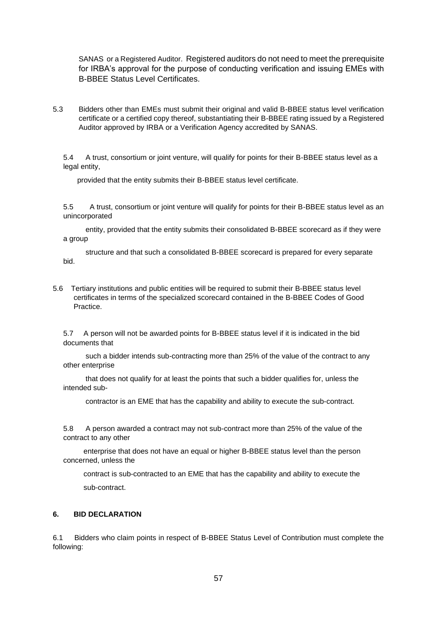SANAS or a Registered Auditor. Registered auditors do not need to meet the prerequisite for IRBA's approval for the purpose of conducting verification and issuing EMEs with B-BBEE Status Level Certificates.

5.3 Bidders other than EMEs must submit their original and valid B-BBEE status level verification certificate or a certified copy thereof, substantiating their B-BBEE rating issued by a Registered Auditor approved by IRBA or a Verification Agency accredited by SANAS.

5.4 A trust, consortium or joint venture, will qualify for points for their B-BBEE status level as a legal entity,

provided that the entity submits their B-BBEE status level certificate.

5.5 A trust, consortium or joint venture will qualify for points for their B-BBEE status level as an unincorporated

 entity, provided that the entity submits their consolidated B-BBEE scorecard as if they were a group

 structure and that such a consolidated B-BBEE scorecard is prepared for every separate bid.

5.6 Tertiary institutions and public entities will be required to submit their B-BBEE status level certificates in terms of the specialized scorecard contained in the B-BBEE Codes of Good Practice.

5.7 A person will not be awarded points for B-BBEE status level if it is indicated in the bid documents that

 such a bidder intends sub-contracting more than 25% of the value of the contract to any other enterprise

 that does not qualify for at least the points that such a bidder qualifies for, unless the intended sub-

contractor is an EME that has the capability and ability to execute the sub-contract.

5.8 A person awarded a contract may not sub-contract more than 25% of the value of the contract to any other

 enterprise that does not have an equal or higher B-BBEE status level than the person concerned, unless the

 contract is sub-contracted to an EME that has the capability and ability to execute the sub-contract.

#### **6. BID DECLARATION**

6.1 Bidders who claim points in respect of B-BBEE Status Level of Contribution must complete the following: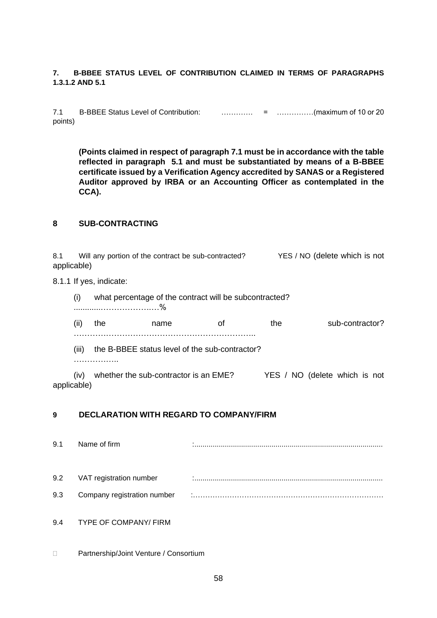#### **7. B-BBEE STATUS LEVEL OF CONTRIBUTION CLAIMED IN TERMS OF PARAGRAPHS 1.3.1.2 AND 5.1**

7.1 B-BBEE Status Level of Contribution: …………. = ……………(maximum of 10 or 20 points)

**(Points claimed in respect of paragraph 7.1 must be in accordance with the table reflected in paragraph 5.1 and must be substantiated by means of a B-BBEE certificate issued by a Verification Agency accredited by SANAS or a Registered Auditor approved by IRBA or an Accounting Officer as contemplated in the CCA).**

### **8 SUB-CONTRACTING**

| 8.1<br>applicable) |       |                         | Will any portion of the contract be sub-contracted?    |    |     | YES / NO (delete which is not |
|--------------------|-------|-------------------------|--------------------------------------------------------|----|-----|-------------------------------|
|                    |       | 8.1.1 If yes, indicate: |                                                        |    |     |                               |
|                    | (i)   |                         | what percentage of the contract will be subcontracted? |    |     |                               |
|                    | (ii)  | the                     | name                                                   | οf | the | sub-contractor?               |
|                    | (iii) |                         | the B-BBEE status level of the sub-contractor?         |    |     |                               |
|                    | (iv)  |                         | whether the sub-contractor is an EME?                  |    |     | YES / NO (delete which is not |

applicable)

### **9 DECLARATION WITH REGARD TO COMPANY/FIRM**

- 9.1 Name of firm **interval and the contract of the contract of firm contract and interval and the contract of the contract of the contract of the contract of the contract of the contract of the contract of the contract o** 9.2 VAT registration number :............................................................................................. 9.3 Company registration number :…………………………………………………………………… 9.4 TYPE OF COMPANY/ FIRM
- □ Partnership/Joint Venture / Consortium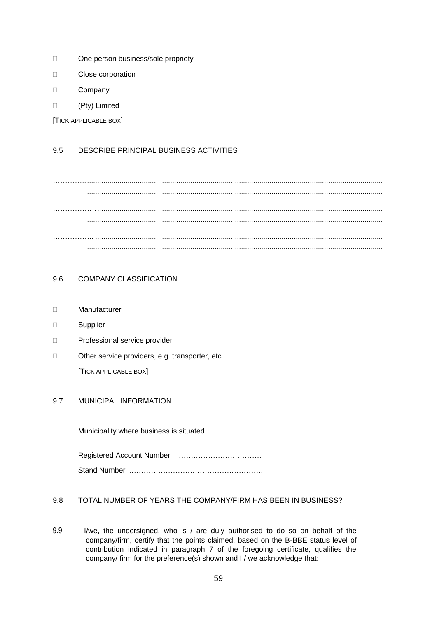- □ One person business/sole propriety
- D Close corporation
- D Company
- (Pty) Limited

[TICK APPLICABLE BOX]

### 9.5 DESCRIBE PRINCIPAL BUSINESS ACTIVITIES

………….................................................................................................................................................... .................................................................................................................................................. ………………............................................................................................................................................. .................................................................................................................................................. …………….. .............................................................................................................................................. ..................................................................................................................................................

## 9.6 COMPANY CLASSIFICATION

- Manufacturer
- □ Supplier
- D Professional service provider
- □ Other service providers, e.g. transporter, etc.

[TICK APPLICABLE BOX]

#### 9.7 MUNICIPAL INFORMATION

Municipality where business is situated ………………………………………………………………….. Registered Account Number ……………………………. Stand Number ……………………………………………….

#### 9.8 TOTAL NUMBER OF YEARS THE COMPANY/FIRM HAS BEEN IN BUSINESS?

……………………………………

9.9 I/we, the undersigned, who is / are duly authorised to do so on behalf of the company/firm, certify that the points claimed, based on the B-BBE status level of contribution indicated in paragraph 7 of the foregoing certificate, qualifies the company/ firm for the preference(s) shown and I / we acknowledge that: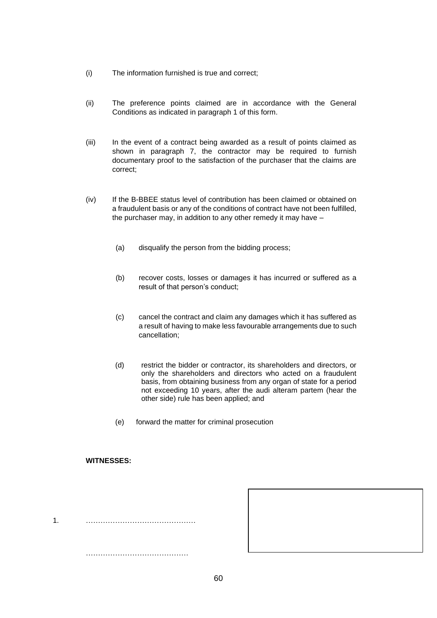- (i) The information furnished is true and correct;
- (ii) The preference points claimed are in accordance with the General Conditions as indicated in paragraph 1 of this form.
- (iii) In the event of a contract being awarded as a result of points claimed as shown in paragraph 7, the contractor may be required to furnish documentary proof to the satisfaction of the purchaser that the claims are correct;
- (iv) If the B-BBEE status level of contribution has been claimed or obtained on a fraudulent basis or any of the conditions of contract have not been fulfilled, the purchaser may, in addition to any other remedy it may have –
	- (a) disqualify the person from the bidding process;
	- (b) recover costs, losses or damages it has incurred or suffered as a result of that person's conduct;
	- (c) cancel the contract and claim any damages which it has suffered as a result of having to make less favourable arrangements due to such cancellation;
	- (d) restrict the bidder or contractor, its shareholders and directors, or only the shareholders and directors who acted on a fraudulent basis, from obtaining business from any organ of state for a period not exceeding 10 years, after the audi alteram partem (hear the other side) rule has been applied; and
	- (e) forward the matter for criminal prosecution

#### **WITNESSES:**

1. ………………………………………

……………………………………

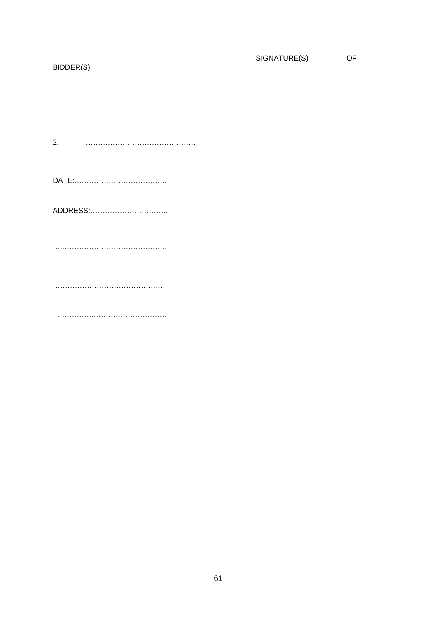# SIGNATURE(S) OF

# BIDDER(S)

 $2.$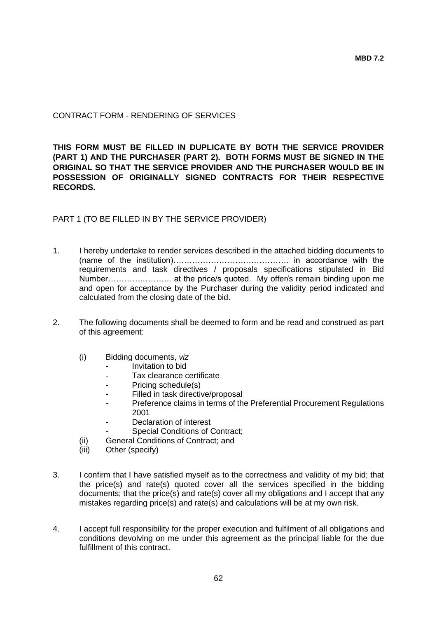### CONTRACT FORM - RENDERING OF SERVICES

**THIS FORM MUST BE FILLED IN DUPLICATE BY BOTH THE SERVICE PROVIDER (PART 1) AND THE PURCHASER (PART 2). BOTH FORMS MUST BE SIGNED IN THE ORIGINAL SO THAT THE SERVICE PROVIDER AND THE PURCHASER WOULD BE IN POSSESSION OF ORIGINALLY SIGNED CONTRACTS FOR THEIR RESPECTIVE RECORDS.**

PART 1 (TO BE FILLED IN BY THE SERVICE PROVIDER)

- 1. I hereby undertake to render services described in the attached bidding documents to (name of the institution)……………………………………. in accordance with the requirements and task directives / proposals specifications stipulated in Bid Number………….……….. at the price/s quoted. My offer/s remain binding upon me and open for acceptance by the Purchaser during the validity period indicated and calculated from the closing date of the bid.
- 2. The following documents shall be deemed to form and be read and construed as part of this agreement:
	- (i) Bidding documents, *viz*
		- *-* Invitation to bid
		- *-* Tax clearance certificate
		- *-* Pricing schedule(s)
		- Filled in task directive/proposal
		- *-* Preference claims in terms of the Preferential Procurement Regulations 2001
		- *-* Declaration of interest
		- *-* Special Conditions of Contract;
	- (ii) General Conditions of Contract; and
	- (iii) Other (specify)
- 3. I confirm that I have satisfied myself as to the correctness and validity of my bid; that the price(s) and rate(s) quoted cover all the services specified in the bidding documents; that the price(s) and rate(s) cover all my obligations and I accept that any mistakes regarding price(s) and rate(s) and calculations will be at my own risk.
- 4. I accept full responsibility for the proper execution and fulfilment of all obligations and conditions devolving on me under this agreement as the principal liable for the due fulfillment of this contract.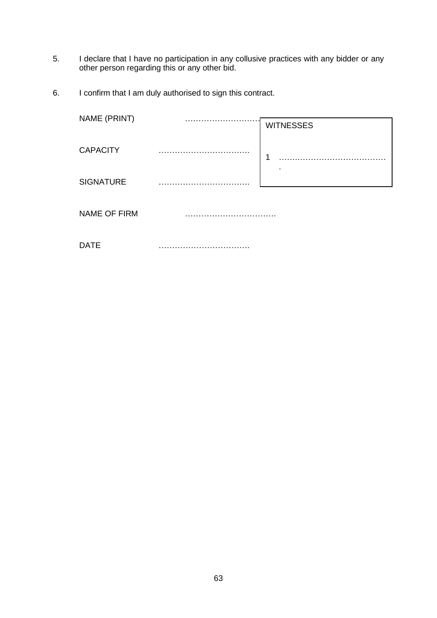- 5. I declare that I have no participation in any collusive practices with any bidder or any other person regarding this or any other bid.
- 6. I confirm that I am duly authorised to sign this contract.

| NAME (PRINT)        | . | <b>WITNESSES</b> |
|---------------------|---|------------------|
| <b>CAPACITY</b>     |   | 1                |
| <b>SIGNATURE</b>    |   |                  |
| <b>NAME OF FIRM</b> |   |                  |
|                     |   |                  |

DATE …………………………….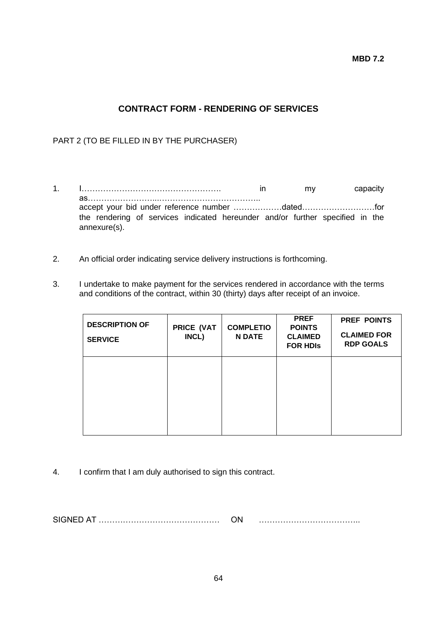**MBD 7.2**

# **CONTRACT FORM - RENDERING OF SERVICES**

# PART 2 (TO BE FILLED IN BY THE PURCHASER)

- 1. I……………………………………………. in my capacity as……………………...……………………………….. accept your bid under reference number ………………dated………………………for the rendering of services indicated hereunder and/or further specified in the annexure(s).
- 2. An official order indicating service delivery instructions is forthcoming.
- 3. I undertake to make payment for the services rendered in accordance with the terms and conditions of the contract, within 30 (thirty) days after receipt of an invoice.

| <b>DESCRIPTION OF</b><br><b>SERVICE</b> | PRICE (VAT<br>INCL) | <b>COMPLETIO</b><br><b>N DATE</b> | <b>PREF</b><br><b>POINTS</b><br><b>CLAIMED</b><br><b>FOR HDIS</b> | <b>PREF POINTS</b><br><b>CLAIMED FOR</b><br><b>RDP GOALS</b> |
|-----------------------------------------|---------------------|-----------------------------------|-------------------------------------------------------------------|--------------------------------------------------------------|
|                                         |                     |                                   |                                                                   |                                                              |
|                                         |                     |                                   |                                                                   |                                                              |

4. I confirm that I am duly authorised to sign this contract.

SIGNED AT ……………………………………… ON ………………………………..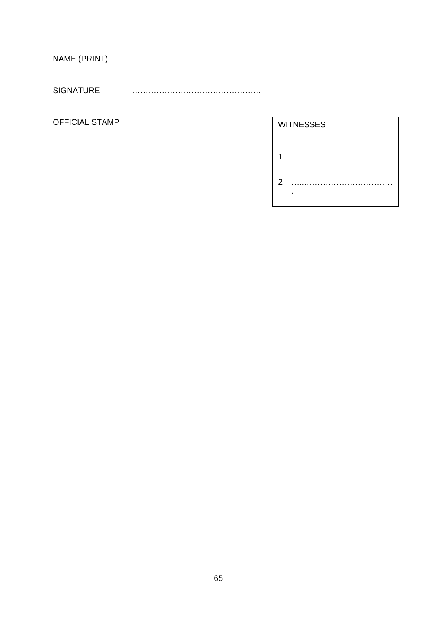| NAME (PRINT) |  |
|--------------|--|
|--------------|--|

SIGNATURE …………………………………………

OFFICIAL STAMP

|  | <b>WI</b>      |
|--|----------------|
|  |                |
|  | $\overline{2}$ |

|                | <b>WITNESSES</b> |
|----------------|------------------|
| 1              |                  |
| $\overline{2}$ |                  |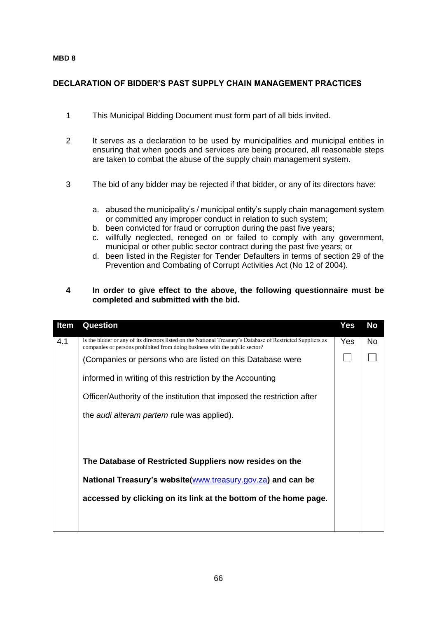#### **MBD 8**

## **DECLARATION OF BIDDER'S PAST SUPPLY CHAIN MANAGEMENT PRACTICES**

- 1 This Municipal Bidding Document must form part of all bids invited.
- 2 It serves as a declaration to be used by municipalities and municipal entities in ensuring that when goods and services are being procured, all reasonable steps are taken to combat the abuse of the supply chain management system.
- 3 The bid of any bidder may be rejected if that bidder, or any of its directors have:
	- a. abused the municipality's / municipal entity's supply chain management system or committed any improper conduct in relation to such system;
	- b. been convicted for fraud or corruption during the past five years;
	- c. willfully neglected, reneged on or failed to comply with any government, municipal or other public sector contract during the past five years; or
	- d. been listed in the Register for Tender Defaulters in terms of section 29 of the Prevention and Combating of Corrupt Activities Act (No 12 of 2004).

#### **4 In order to give effect to the above, the following questionnaire must be completed and submitted with the bid.**

| Item | Question                                                                                                                                                                                   | Yes  | No |
|------|--------------------------------------------------------------------------------------------------------------------------------------------------------------------------------------------|------|----|
| 4.1  | Is the bidder or any of its directors listed on the National Treasury's Database of Restricted Suppliers as<br>companies or persons prohibited from doing business with the public sector? | Yes. | No |
|      | (Companies or persons who are listed on this Database were                                                                                                                                 |      |    |
|      | informed in writing of this restriction by the Accounting                                                                                                                                  |      |    |
|      | Officer/Authority of the institution that imposed the restriction after                                                                                                                    |      |    |
|      | the <i>audi alteram partem</i> rule was applied).                                                                                                                                          |      |    |
|      |                                                                                                                                                                                            |      |    |
|      |                                                                                                                                                                                            |      |    |
|      | The Database of Restricted Suppliers now resides on the                                                                                                                                    |      |    |
|      | National Treasury's website(www.treasury.gov.za) and can be                                                                                                                                |      |    |
|      | accessed by clicking on its link at the bottom of the home page.                                                                                                                           |      |    |
|      |                                                                                                                                                                                            |      |    |
|      |                                                                                                                                                                                            |      |    |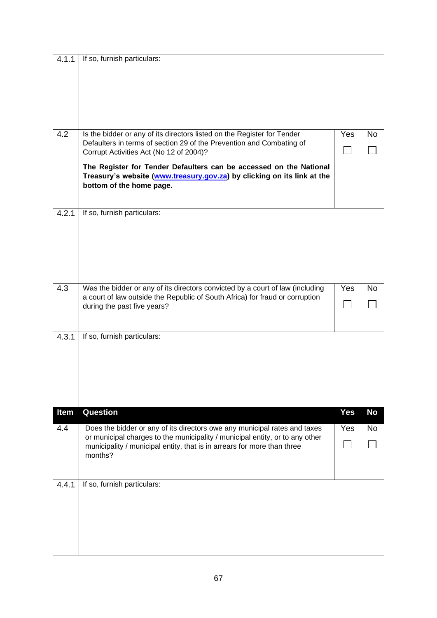| 4.1.1 | If so, furnish particulars:                                                                                                                                                                  |            |           |
|-------|----------------------------------------------------------------------------------------------------------------------------------------------------------------------------------------------|------------|-----------|
| 4.2   |                                                                                                                                                                                              |            |           |
|       | Is the bidder or any of its directors listed on the Register for Tender<br>Defaulters in terms of section 29 of the Prevention and Combating of<br>Corrupt Activities Act (No 12 of 2004)?   | Yes        | <b>No</b> |
|       | The Register for Tender Defaulters can be accessed on the National<br>Treasury's website (www.treasury.gov.za) by clicking on its link at the<br>bottom of the home page.                    |            |           |
| 4.2.1 | If so, furnish particulars:                                                                                                                                                                  |            |           |
| 4.3   | Was the bidder or any of its directors convicted by a court of law (including<br>a court of law outside the Republic of South Africa) for fraud or corruption<br>during the past five years? | <b>Yes</b> | <b>No</b> |
| 4.3.1 | If so, furnish particulars:                                                                                                                                                                  |            |           |
| Item  | Question                                                                                                                                                                                     | <b>Yes</b> | <b>No</b> |
| 4.4   | Does the bidder or any of its directors owe any municipal rates and taxes<br>or municipal charges to the municipality / municipal entity, or to any other                                    | Yes        | <b>No</b> |
|       | municipality / municipal entity, that is in arrears for more than three<br>months?                                                                                                           |            |           |
| 4.4.1 | If so, furnish particulars:                                                                                                                                                                  |            |           |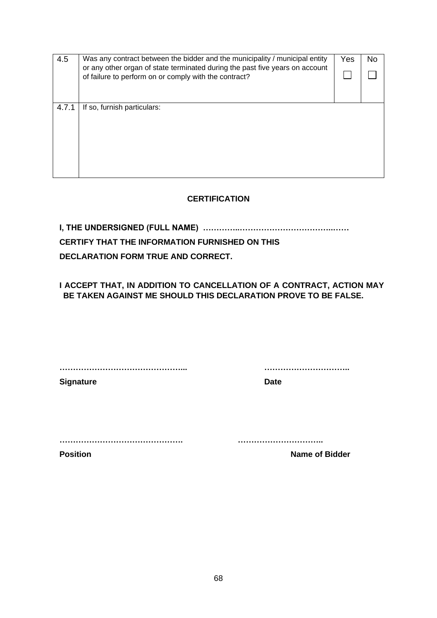| 4.5<br>or any other organ of state terminated during the past five years on account<br>of failure to perform on or comply with the contract? | Was any contract between the bidder and the municipality / municipal entity | Yes | No |
|----------------------------------------------------------------------------------------------------------------------------------------------|-----------------------------------------------------------------------------|-----|----|
|                                                                                                                                              |                                                                             |     |    |
|                                                                                                                                              |                                                                             |     |    |
| 4.7.1                                                                                                                                        | If so, furnish particulars:                                                 |     |    |
|                                                                                                                                              |                                                                             |     |    |
|                                                                                                                                              |                                                                             |     |    |
|                                                                                                                                              |                                                                             |     |    |
|                                                                                                                                              |                                                                             |     |    |
|                                                                                                                                              |                                                                             |     |    |
|                                                                                                                                              |                                                                             |     |    |

# **CERTIFICATION**

**I, THE UNDERSIGNED (FULL NAME) …………..……………………………..……**

# **CERTIFY THAT THE INFORMATION FURNISHED ON THIS**

**DECLARATION FORM TRUE AND CORRECT.**

**I ACCEPT THAT, IN ADDITION TO CANCELLATION OF A CONTRACT, ACTION MAY BE TAKEN AGAINST ME SHOULD THIS DECLARATION PROVE TO BE FALSE.**

**………………………………………... …………………………..**

**Signature Date** 

**………………………………………. …………………………..**

**Position Name of Bidder**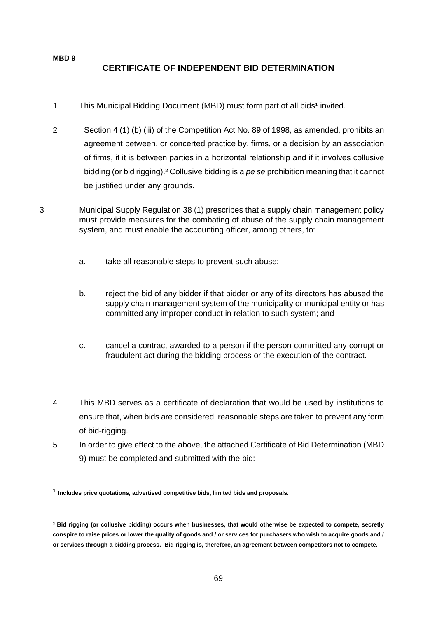## **MBD 9 CERTIFICATE OF INDEPENDENT BID DETERMINATION**

- 1 This Municipal Bidding Document (MBD) must form part of all bids<sup>1</sup> invited.
- 2 Section 4 (1) (b) (iii) of the Competition Act No. 89 of 1998, as amended, prohibits an agreement between, or concerted practice by, firms, or a decision by an association of firms, if it is between parties in a horizontal relationship and if it involves collusive bidding (or bid rigging).² Collusive bidding is a *pe se* prohibition meaning that it cannot be justified under any grounds.
- 3 Municipal Supply Regulation 38 (1) prescribes that a supply chain management policy must provide measures for the combating of abuse of the supply chain management system, and must enable the accounting officer, among others, to:
	- a. take all reasonable steps to prevent such abuse;
	- b. reject the bid of any bidder if that bidder or any of its directors has abused the supply chain management system of the municipality or municipal entity or has committed any improper conduct in relation to such system; and
	- c. cancel a contract awarded to a person if the person committed any corrupt or fraudulent act during the bidding process or the execution of the contract.
	- 4 This MBD serves as a certificate of declaration that would be used by institutions to ensure that, when bids are considered, reasonable steps are taken to prevent any form of bid-rigging.
	- 5 In order to give effect to the above, the attached Certificate of Bid Determination (MBD 9) must be completed and submitted with the bid:

**¹ Includes price quotations, advertised competitive bids, limited bids and proposals.**

**² Bid rigging (or collusive bidding) occurs when businesses, that would otherwise be expected to compete, secretly conspire to raise prices or lower the quality of goods and / or services for purchasers who wish to acquire goods and / or services through a bidding process. Bid rigging is, therefore, an agreement between competitors not to compete.**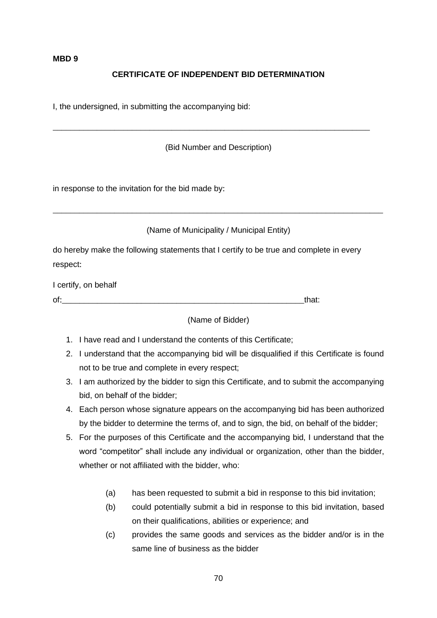#### **MBD 9**

# **CERTIFICATE OF INDEPENDENT BID DETERMINATION**

I, the undersigned, in submitting the accompanying bid:

(Bid Number and Description)

\_\_\_\_\_\_\_\_\_\_\_\_\_\_\_\_\_\_\_\_\_\_\_\_\_\_\_\_\_\_\_\_\_\_\_\_\_\_\_\_\_\_\_\_\_\_\_\_\_\_\_\_\_\_\_\_\_\_\_\_\_\_\_\_\_\_\_\_\_\_\_\_

in response to the invitation for the bid made by:

(Name of Municipality / Municipal Entity)

\_\_\_\_\_\_\_\_\_\_\_\_\_\_\_\_\_\_\_\_\_\_\_\_\_\_\_\_\_\_\_\_\_\_\_\_\_\_\_\_\_\_\_\_\_\_\_\_\_\_\_\_\_\_\_\_\_\_\_\_\_\_\_\_\_\_\_\_\_\_\_\_\_\_\_

do hereby make the following statements that I certify to be true and complete in every respect:

I certify, on behalf

of:\_\_\_\_\_\_\_\_\_\_\_\_\_\_\_\_\_\_\_\_\_\_\_\_\_\_\_\_\_\_\_\_\_\_\_\_\_\_\_\_\_\_\_\_\_\_\_\_\_\_\_\_\_\_\_that:

(Name of Bidder)

- 1. I have read and I understand the contents of this Certificate;
- 2. I understand that the accompanying bid will be disqualified if this Certificate is found not to be true and complete in every respect;
- 3. I am authorized by the bidder to sign this Certificate, and to submit the accompanying bid, on behalf of the bidder;
- 4. Each person whose signature appears on the accompanying bid has been authorized by the bidder to determine the terms of, and to sign, the bid, on behalf of the bidder;
- 5. For the purposes of this Certificate and the accompanying bid, I understand that the word "competitor" shall include any individual or organization, other than the bidder, whether or not affiliated with the bidder, who:
	- (a) has been requested to submit a bid in response to this bid invitation;
	- (b) could potentially submit a bid in response to this bid invitation, based on their qualifications, abilities or experience; and
	- (c) provides the same goods and services as the bidder and/or is in the same line of business as the bidder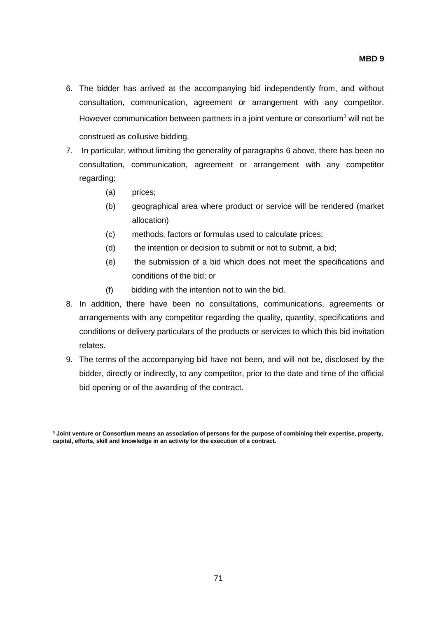- 6. The bidder has arrived at the accompanying bid independently from, and without consultation, communication, agreement or arrangement with any competitor. However communication between partners in a joint venture or consortium<sup>3</sup> will not be construed as collusive bidding.
- 7. In particular, without limiting the generality of paragraphs 6 above, there has been no consultation, communication, agreement or arrangement with any competitor regarding:
	- (a) prices;
	- (b) geographical area where product or service will be rendered (market allocation)
	- (c) methods, factors or formulas used to calculate prices;
	- (d) the intention or decision to submit or not to submit, a bid;
	- (e) the submission of a bid which does not meet the specifications and conditions of the bid; or
	- (f) bidding with the intention not to win the bid.
- 8. In addition, there have been no consultations, communications, agreements or arrangements with any competitor regarding the quality, quantity, specifications and conditions or delivery particulars of the products or services to which this bid invitation relates.
- 9. The terms of the accompanying bid have not been, and will not be, disclosed by the bidder, directly or indirectly, to any competitor, prior to the date and time of the official bid opening or of the awarding of the contract.

**³ Joint venture or Consortium means an association of persons for the purpose of combining their expertise, property, capital, efforts, skill and knowledge in an activity for the execution of a contract.**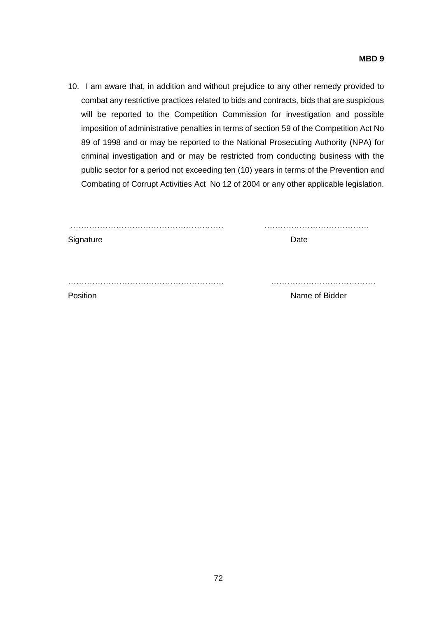10. I am aware that, in addition and without prejudice to any other remedy provided to combat any restrictive practices related to bids and contracts, bids that are suspicious will be reported to the Competition Commission for investigation and possible imposition of administrative penalties in terms of section 59 of the Competition Act No 89 of 1998 and or may be reported to the National Prosecuting Authority (NPA) for criminal investigation and or may be restricted from conducting business with the public sector for a period not exceeding ten (10) years in terms of the Prevention and Combating of Corrupt Activities Act No 12 of 2004 or any other applicable legislation.

| Signature | Date           |  |
|-----------|----------------|--|
|           |                |  |
|           |                |  |
|           |                |  |
| Position  | Name of Bidder |  |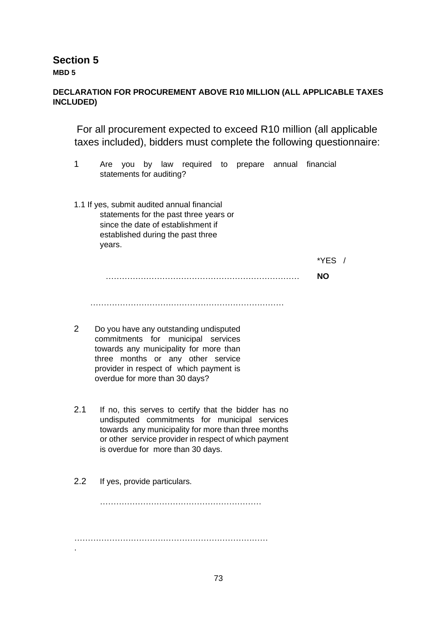**Section 5**

**MBD 5** 

# **DECLARATION FOR PROCUREMENT ABOVE R10 MILLION (ALL APPLICABLE TAXES INCLUDED)**

For all procurement expected to exceed R10 million (all applicable taxes included), bidders must complete the following questionnaire:

- 1 Are you by law required to prepare annual financial statements for auditing?
- 1.1 If yes, submit audited annual financial statements for the past three years or since the date of establishment if established during the past three years.

 $*YFS$  /

……………………………………………………………… **NO** 

 $\mathcal{L}_{\mathcal{M}}$ 

- 2 Do you have any outstanding undisputed commitments for municipal services towards any municipality for more than three months or any other service provider in respect of which payment is overdue for more than 30 days?
- 2.1 If no, this serves to certify that the bidder has no undisputed commitments for municipal services towards any municipality for more than three months or other service provider in respect of which payment is overdue for more than 30 days.
- 2.2 If yes, provide particulars.

.

…………………………………………………… ………………………………………………………………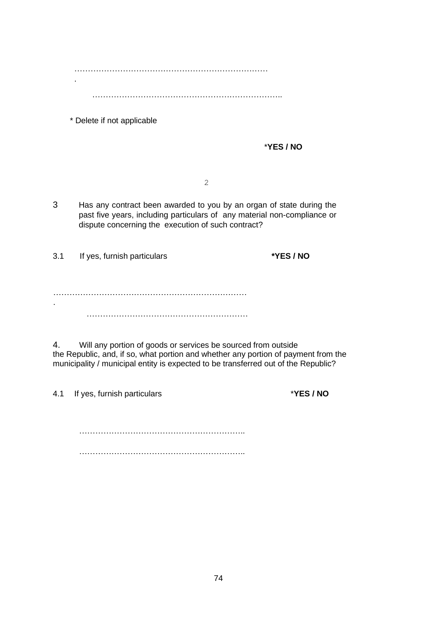……………………………………………………………… .

……………………………………………………………..

\* Delete if not applicable

\***YES / NO** 

2

3 Has any contract been awarded to you by an organ of state during the past five years, including particulars of any material non-compliance or dispute concerning the execution of such contract?

3.1 If yes, furnish particulars **\*YES / NO**

……………………………………………………………… . ……………………………………………………

4. Will any portion of goods or services be sourced from outside the Republic, and, if so, what portion and whether any portion of payment from the municipality / municipal entity is expected to be transferred out of the Republic?

4.1 If yes, furnish particulars \***YES / NO**

…………………………………………………….. ……………………………………………………..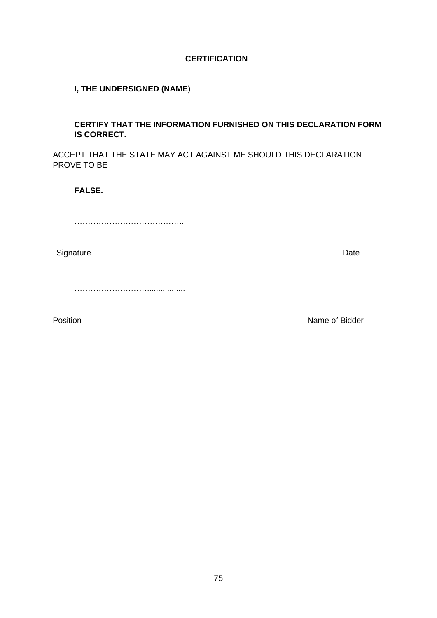#### **CERTIFICATION**

#### **I, THE UNDERSIGNED (NAME**)

………………………………………………………………………

#### **CERTIFY THAT THE INFORMATION FURNISHED ON THIS DECLARATION FORM IS CORRECT.**

ACCEPT THAT THE STATE MAY ACT AGAINST ME SHOULD THIS DECLARATION PROVE TO BE

**FALSE.** 

…………………………………..

Signature Date **Date** 

……………………….................

…………………………………….

……………………………………..

Position **Name of Bidder**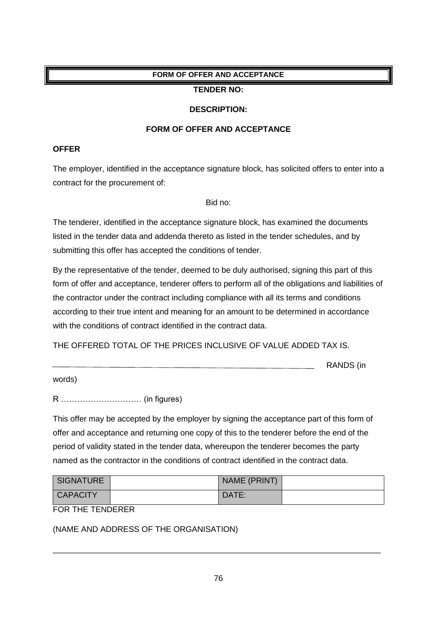# **FORM OF OFFER AND ACCEPTANCE**

#### **TENDER NO:**

#### **DESCRIPTION:**

#### **FORM OF OFFER AND ACCEPTANCE**

#### **OFFER**

The employer, identified in the acceptance signature block, has solicited offers to enter into a contract for the procurement of:

Bid no:

The tenderer, identified in the acceptance signature block, has examined the documents listed in the tender data and addenda thereto as listed in the tender schedules, and by submitting this offer has accepted the conditions of tender.

By the representative of the tender, deemed to be duly authorised, signing this part of this form of offer and acceptance, tenderer offers to perform all of the obligations and liabilities of the contractor under the contract including compliance with all its terms and conditions according to their true intent and meaning for an amount to be determined in accordance with the conditions of contract identified in the contract data.

THE OFFERED TOTAL OF THE PRICES INCLUSIVE OF VALUE ADDED TAX IS.

RANDS (in

words)

R ………………………… (in figures)

This offer may be accepted by the employer by signing the acceptance part of this form of offer and acceptance and returning one copy of this to the tenderer before the end of the period of validity stated in the tender data, whereupon the tenderer becomes the party named as the contractor in the conditions of contract identified in the contract data.

| <b>SIGNATURE</b> | NAME (PRINT) |  |
|------------------|--------------|--|
| <b>CAPACITY</b>  | DATE:        |  |

FOR THE TENDERER

(NAME AND ADDRESS OF THE ORGANISATION)

\_\_\_\_\_\_\_\_\_\_\_\_\_\_\_\_\_\_\_\_\_\_\_\_\_\_\_\_\_\_\_\_\_\_\_\_\_\_\_\_\_\_\_\_\_\_\_\_\_\_\_\_\_\_\_\_\_\_\_\_\_\_\_\_\_\_\_\_\_\_\_\_\_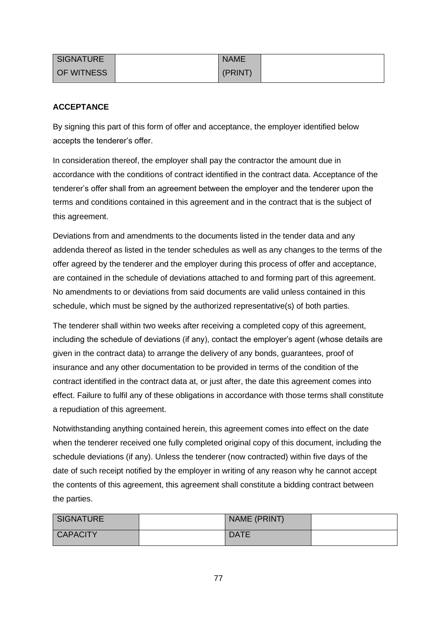| <b>SIGNATURE</b>  | <b>NAME</b> |  |
|-------------------|-------------|--|
| <b>OF WITNESS</b> | (PRINT)     |  |

### **ACCEPTANCE**

By signing this part of this form of offer and acceptance, the employer identified below accepts the tenderer's offer.

In consideration thereof, the employer shall pay the contractor the amount due in accordance with the conditions of contract identified in the contract data. Acceptance of the tenderer's offer shall from an agreement between the employer and the tenderer upon the terms and conditions contained in this agreement and in the contract that is the subject of this agreement.

Deviations from and amendments to the documents listed in the tender data and any addenda thereof as listed in the tender schedules as well as any changes to the terms of the offer agreed by the tenderer and the employer during this process of offer and acceptance, are contained in the schedule of deviations attached to and forming part of this agreement. No amendments to or deviations from said documents are valid unless contained in this schedule, which must be signed by the authorized representative(s) of both parties.

The tenderer shall within two weeks after receiving a completed copy of this agreement, including the schedule of deviations (if any), contact the employer's agent (whose details are given in the contract data) to arrange the delivery of any bonds, guarantees, proof of insurance and any other documentation to be provided in terms of the condition of the contract identified in the contract data at, or just after, the date this agreement comes into effect. Failure to fulfil any of these obligations in accordance with those terms shall constitute a repudiation of this agreement.

Notwithstanding anything contained herein, this agreement comes into effect on the date when the tenderer received one fully completed original copy of this document, including the schedule deviations (if any). Unless the tenderer (now contracted) within five days of the date of such receipt notified by the employer in writing of any reason why he cannot accept the contents of this agreement, this agreement shall constitute a bidding contract between the parties.

| <b>SIGNATURE</b> | NAME (PRINT) |  |
|------------------|--------------|--|
| <b>CAPACITY</b>  | <b>DATE</b>  |  |